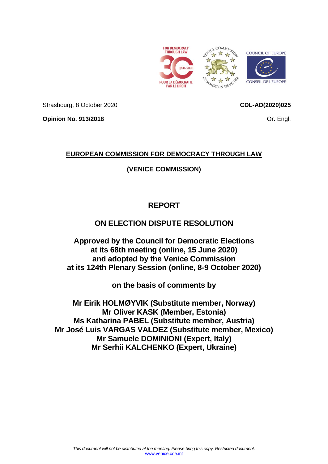

<span id="page-0-0"></span>

Strasbourg, 8 October 2020

**CDL-AD(2020)025**

**Opinion No. 913/2018**

Or. Engl.

# **EUROPEAN COMMISSION FOR DEMOCRACY THROUGH LAW**

# **(VENICE COMMISSION)**

# **REPORT**

# **ON ELECTION DISPUTE RESOLUTION**

**Approved by the Council for Democratic Elections at its 68th meeting (online, 15 June 2020) and adopted by the Venice Commission at its 124th Plenary Session (online, 8-9 October 2020)**

**on the basis of comments by**

**Mr Eirik HOLMØYVIK (Substitute member, Norway) Mr Oliver KASK (Member, Estonia) Ms Katharina PABEL (Substitute member, Austria) Mr José Luis VARGAS VALDEZ (Substitute member, Mexico) Mr Samuele DOMINIONI (Expert, Italy) Mr Serhii KALCHENKO (Expert, Ukraine)**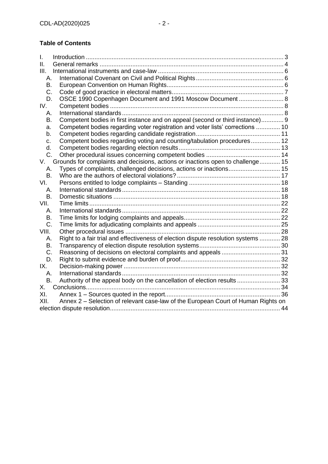# **Table of Contents**

| I.    |                                                                                    |  |  |
|-------|------------------------------------------------------------------------------------|--|--|
| Ш.    |                                                                                    |  |  |
| III.  |                                                                                    |  |  |
| А.    |                                                                                    |  |  |
| В.    |                                                                                    |  |  |
| C.    |                                                                                    |  |  |
| D.    | OSCE 1990 Copenhagen Document and 1991 Moscow Document  8                          |  |  |
| IV.   |                                                                                    |  |  |
| А.    |                                                                                    |  |  |
| В.    | Competent bodies in first instance and on appeal (second or third instance) 9      |  |  |
| a.    | Competent bodies regarding voter registration and voter lists' corrections  10     |  |  |
| b.    |                                                                                    |  |  |
| с.    | Competent bodies regarding voting and counting/tabulation procedures 12            |  |  |
| d.    |                                                                                    |  |  |
| C.    |                                                                                    |  |  |
| V.    | Grounds for complaints and decisions, actions or inactions open to challenge 15    |  |  |
| А.    | Types of complaints, challenged decisions, actions or inactions 15                 |  |  |
| В.    |                                                                                    |  |  |
| VI.   |                                                                                    |  |  |
| А.    |                                                                                    |  |  |
| В.    |                                                                                    |  |  |
| VII.  |                                                                                    |  |  |
| А.    |                                                                                    |  |  |
| В.    |                                                                                    |  |  |
| C.    |                                                                                    |  |  |
| VIII. |                                                                                    |  |  |
| А.    | Right to a fair trial and effectiveness of election dispute resolution systems  28 |  |  |
| B.    |                                                                                    |  |  |
| C.    | Reasoning of decisions on electoral complaints and appeals  31                     |  |  |
| D.    |                                                                                    |  |  |
| IX.   |                                                                                    |  |  |
| А.    |                                                                                    |  |  |
| В.    | Authority of the appeal body on the cancellation of election results  33           |  |  |
| X.    |                                                                                    |  |  |
| XI.   |                                                                                    |  |  |
| XII.  | Annex 2 - Selection of relevant case-law of the European Court of Human Rights on  |  |  |
|       |                                                                                    |  |  |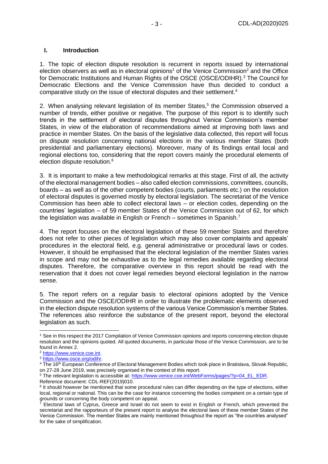#### <span id="page-2-0"></span>**I. Introduction**

1. The topic of election dispute resolution is recurrent in reports issued by international election observers as well as in electoral opinions<sup>1</sup> of the Venice Commission<sup>2</sup> and the Office for Democratic Institutions and Human Rights of the OSCE (OSCE/ODIHR).<sup>3</sup> The Council for Democratic Elections and the Venice Commission have thus decided to conduct a comparative study on the issue of electoral disputes and their settlement.<sup>4</sup>

2. When analysing relevant legislation of its member States,<sup>5</sup> the Commission observed a number of trends, either positive or negative. The purpose of this report is to identify such trends in the settlement of electoral disputes throughout Venice Commission's member States, in view of the elaboration of recommendations aimed at improving both laws and practice in member States. On the basis of the legislative data collected, this report will focus on dispute resolution concerning national elections in the various member States (both presidential and parliamentary elections). Moreover, many of its findings entail local and regional elections too, considering that the report covers mainly the procedural elements of election dispute resolution.<sup>6</sup>

3. It is important to make a few methodological remarks at this stage. First of all, the activity of the electoral management bodies – also called election commissions, committees, councils, boards – as well as of the other competent bodies (courts, parliaments etc.) on the resolution of electoral disputes is governed mostly by electoral legislation. The secretariat of the Venice Commission has been able to collect electoral laws – or election codes, depending on the countries' legislation – of 59 member States of the Venice Commission out of 62, for which the legislation was available in English or French – sometimes in Spanish.<sup>7</sup>

4. The report focuses on the electoral legislation of these 59 member States and therefore does not refer to other pieces of legislation which may also cover complaints and appeals' procedures in the electoral field, e.g. general administrative or procedural laws or codes. However, it should be emphasised that the electoral legislation of the member States varies in scope and may not be exhaustive as to the legal remedies available regarding electoral disputes. Therefore, the comparative overview in this report should be read with the reservation that it does not cover legal remedies beyond electoral legislation in the narrow sense.

5. The report refers on a regular basis to electoral opinions adopted by the Venice Commission and the OSCE/ODIHR in order to illustrate the problematic elements observed in the election dispute resolution systems of the various Venice Commission's member States. The references also reinforce the substance of the present report, beyond the electoral legislation as such.

<sup>1</sup> See in this respect the 2017 Compilation of Venice Commission opinions and reports concerning election dispute resolution and the opinions quoted. All quoted documents, in particular those of the Venice Commission, are to be found in Annex 2.

<sup>2</sup> [https://www.venice.coe.int.](https://www.venice.coe.int/)

<sup>3</sup> [https://www.osce.org/odihr.](https://www.osce.org/odihr)

<sup>&</sup>lt;sup>4</sup> The 16<sup>th</sup> European Conference of Electoral Management Bodies which took place in Bratislava, Slovak Republic, on 27-28 June 2019, was precisely organised in the context of this report.

<sup>5</sup> The relevant legislation is accessible at: [https://www.venice.coe.int/WebForms/pages/?p=04\\_EL\\_EDR.](https://www.venice.coe.int/WebForms/pages/?p=04_EL_EDR) Reference document: CDL-REF(2019)010.

<sup>&</sup>lt;sup>6</sup> It should however be mentioned that some procedural rules can differ depending on the type of elections, either local, regional or national. This can be the case for instance concerning the bodies competent on a certain type of grounds or concerning the body competent on appeal.

 $7$  Electoral laws of Cyprus, Greece and Israel do not seem to exist in English or French, which prevented the secretariat and the rapporteurs of the present report to analyse the electoral laws of these member States of the Venice Commission. The member States are mainly mentioned throughout the report as "the countries analysed" for the sake of simplification.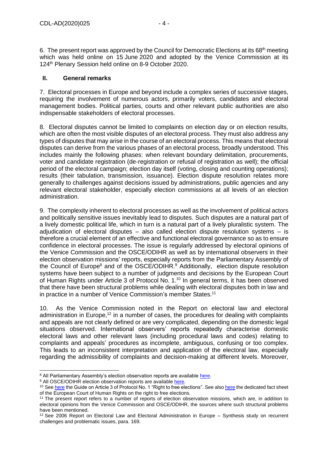6. The present report was approved by the Council for Democratic Elections at its 68<sup>th</sup> meeting which was held online on 15 June 2020 and adopted by the Venice Commission at its 124<sup>th</sup> Plenary Session held online on 8-9 October 2020.

## <span id="page-3-0"></span>**II. General remarks**

7. Electoral processes in Europe and beyond include a complex series of successive stages, requiring the involvement of numerous actors, primarily voters, candidates and electoral management bodies. Political parties, courts and other relevant public authorities are also indispensable stakeholders of electoral processes.

8. Electoral disputes cannot be limited to complaints on election day or on election results, which are often the most visible disputes of an electoral process. They must also address any types of disputes that may arise in the course of an electoral process. This means that electoral disputes can derive from the various phases of an electoral process, broadly understood. This includes mainly the following phases: when relevant boundary delimitation, procurements, voter and candidate registration (de-registration or refusal of registration as well); the official period of the electoral campaign; election day itself (voting, closing and counting operations); results (their tabulation, transmission, issuance). Election dispute resolution relates more generally to challenges against decisions issued by administrations, public agencies and any relevant electoral stakeholder, especially election commissions at all levels of an election administration.

9. The complexity inherent to electoral processes as well as the involvement of political actors and politically sensitive issues inevitably lead to disputes. Such disputes are a natural part of a lively domestic political life, which in turn is a natural part of a lively pluralistic system. The adjudication of electoral disputes  $-$  also called election dispute resolution systems  $-$  is therefore a crucial element of an effective and functional electoral governance so as to ensure confidence in electoral processes. The issue is regularly addressed by electoral opinions of the Venice Commission and the OSCE/ODIHR as well as by international observers in their election observation missions' reports, especially reports from the Parliamentary Assembly of the Council of Europe<sup>8</sup> and of the OSCE/ODIHR. $9$  Additionally, election dispute resolution systems have been subject to a number of judgments and decisions by the European Court of Human Rights under Article 3 of Protocol No. 1.<sup>10</sup> In general terms, it has been observed that there have been structural problems while dealing with electoral disputes both in law and in practice in a number of Venice Commission's member States.<sup>11</sup>

10. As the Venice Commission noted in the Report on electoral law and electoral administration in Europe,<sup>12</sup> in a number of cases, the procedures for dealing with complaints and appeals are not clearly defined or are very complicated, depending on the domestic legal situations observed. International observers' reports repeatedly characterise domestic electoral laws and other relevant laws (including procedural laws and codes) relating to complaints and appeals' procedures as incomplete, ambiguous, confusing or too complex. This leads to an inconsistent interpretation and application of the electoral law, especially regarding the admissibility of complaints and decision-making at different levels. Moreover,

<sup>&</sup>lt;sup>8</sup> All Parliamentary Assembly's election observation reports are available [here.](http://semantic-pace.net/default.aspx?search=dHlwZV9zdHJfZW46IkVsZWN0aW9uIG9ic2VydmF0aW9uIHJlcG9ydCI=&lang=en)

<sup>&</sup>lt;sup>9</sup> All OSCE/ODIHR election observation reports are available [here.](https://www.osce.org/odihr/elections)

<sup>&</sup>lt;sup>10</sup> Se[e here](https://echr.coe.int/Documents/Guide_Art_3_Protocol_1_ENG.pdf) the Guide on Article 3 of Protocol No. 1 "Right to free elections". See als[o here](https://www.echr.coe.int/Documents/FS_Vote_ENG.pdf) the dedicated fact sheet of the European Court of Human Rights on the right to free elections.

<sup>&</sup>lt;sup>11</sup> The present report refers to a number of reports of election observation missions, which are, in addition to electoral opinions from the Venice Commission and OSCE/ODIHR, the sources where such structural problems have been mentioned.

<sup>&</sup>lt;sup>12</sup> See 2006 Report on Electoral Law and Electoral Administration in Europe – Synthesis study on recurrent challenges and problematic issues, para. 169.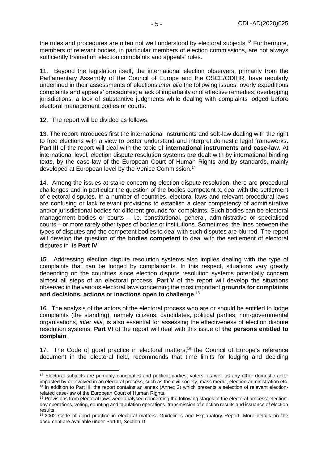the rules and procedures are often not well understood by electoral subjects.<sup>13</sup> Furthermore, members of relevant bodies, in particular members of election commissions, are not always sufficiently trained on election complaints and appeals' rules.

11. Beyond the legislation itself, the international election observers, primarily from the Parliamentary Assembly of the Council of Europe and the OSCE/ODIHR, have regularly underlined in their assessments of elections *inter alia* the following issues: overly expeditious complaints and appeals' procedures; a lack of impartiality or of effective remedies; overlapping jurisdictions; a lack of substantive judgments while dealing with complaints lodged before electoral management bodies or courts.

12. The report will be divided as follows.

13. The report introduces first the international instruments and soft-law dealing with the right to free elections with a view to better understand and interpret domestic legal frameworks. **Part III** of the report will deal with the topic of **international instruments and case-law**. At international level, election dispute resolution systems are dealt with by international binding texts, by the case-law of the European Court of Human Rights and by standards, mainly developed at European level by the Venice Commission. 14

14. Among the issues at stake concerning election dispute resolution, there are procedural challenges and in particular the question of the bodies competent to deal with the settlement of electoral disputes. In a number of countries, electoral laws and relevant procedural laws are confusing or lack relevant provisions to establish a clear competency of administrative and/or jurisdictional bodies for different grounds for complaints. Such bodies can be electoral management bodies or courts – i.e. constitutional, general, administrative or specialised courts – or more rarely other types of bodies or institutions. Sometimes, the lines between the types of disputes and the competent bodies to deal with such disputes are blurred. The report will develop the question of the **bodies competent** to deal with the settlement of electoral disputes in its **Part IV**.

15. Addressing election dispute resolution systems also implies dealing with the type of complaints that can be lodged by complainants. In this respect, situations vary greatly depending on the countries since election dispute resolution systems potentially concern almost all steps of an electoral process. **Part V** of the report will develop the situations observed in the various electoral laws concerning the most important **grounds for complaints and decisions, actions or inactions open to challenge**. 15

16. The analysis of the actors of the electoral process who are or should be entitled to lodge complaints (the standing), namely citizens, candidates, political parties, non-governmental organisations, *inter alia*, is also essential for assessing the effectiveness of election dispute resolution systems. **Part VI** of the report will deal with this issue of **the persons entitled to complain**.

17. The Code of good practice in electoral matters,<sup>16</sup> the Council of Europe's reference document in the electoral field, recommends that time limits for lodging and deciding

<sup>&</sup>lt;sup>13</sup> Electoral subjects are primarily candidates and political parties, voters, as well as any other domestic actor impacted by or involved in an electoral process, such as the civil society, mass media, election administration etc. <sup>14</sup> In addition to Part III, the report contains an annex (Annex 2) which presents a selection of relevant electionrelated case-law of the European Court of Human Rights.

<sup>15</sup> Provisions from electoral laws were analysed concerning the following stages of the electoral process: electionday operations, voting, counting and tabulation operations, transmission of election results and issuance of election results.

<sup>&</sup>lt;sup>16</sup> 2002 Code of good practice in electoral matters: Guidelines and Explanatory Report. More details on the document are available under Part III, Section D.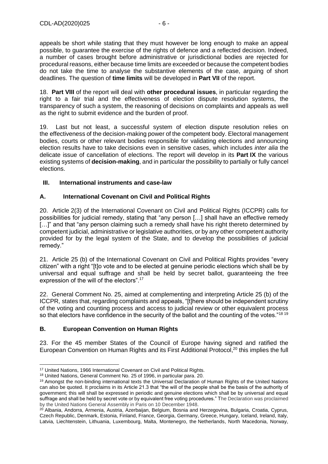appeals be short while stating that they must however be long enough to make an appeal possible, to guarantee the exercise of the rights of defence and a reflected decision. Indeed, a number of cases brought before administrative or jurisdictional bodies are rejected for procedural reasons, either because time limits are exceeded or because the competent bodies do not take the time to analyse the substantive elements of the case, arguing of short deadlines. The question of **time limits** will be developed in **Part VII** of the report.

18. **Part VIII** of the report will deal with **other procedural issues**, in particular regarding the right to a fair trial and the effectiveness of election dispute resolution systems, the transparency of such a system, the reasoning of decisions on complaints and appeals as well as the right to submit evidence and the burden of proof.

19. Last but not least, a successful system of election dispute resolution relies on the effectiveness of the decision-making power of the competent body. Electoral management bodies, courts or other relevant bodies responsible for validating elections and announcing election results have to take decisions even in sensitive cases, which includes *inter alia* the delicate issue of cancellation of elections. The report will develop in its **Part IX** the various existing systems of **decision-making**, and in particular the possibility to partially or fully cancel elections.

# <span id="page-5-0"></span>**III. International instruments and case-law**

# <span id="page-5-1"></span>**A. International Covenant on Civil and Political Rights**

20. Article 2(3) of the International Covenant on Civil and Political Rights (ICCPR) calls for possibilities for judicial remedy, stating that "any person […] shall have an effective remedy [...]" and that "any person claiming such a remedy shall have his right thereto determined by competent judicial, administrative or legislative authorities, or by any other competent authority provided for by the legal system of the State, and to develop the possibilities of judicial remedy."

21. Article 25 (b) of the International Covenant on Civil and Political Rights provides "every citizen" with a right "[t]o vote and to be elected at genuine periodic elections which shall be by universal and equal suffrage and shall be held by secret ballot, guaranteeing the free expression of the will of the electors".<sup>17</sup>

22. General Comment No. 25, aimed at complementing and interpreting Article 25 (b) of the ICCPR, states that, regarding complaints and appeals, "[t]here should be independent scrutiny of the voting and counting process and access to judicial review or other equivalent process so that electors have confidence in the security of the ballot and the counting of the votes."<sup>18 19</sup>

# <span id="page-5-2"></span>**B. European Convention on Human Rights**

23. For the 45 member States of the Council of Europe having signed and ratified the European Convention on Human Rights and its First Additional Protocol,<sup>20</sup> this implies the full

<sup>17</sup> United Nations, 1966 International Covenant on Civil and Political Rights.

<sup>18</sup> United Nations, General Comment No. 25 of 1996, in particular para. 20.

<sup>19</sup> Amongst the non-binding international texts the Universal Declaration of Human Rights of the United Nations can also be quoted. It proclaims in its Article 21.3 that "the will of the people shall be the basis of the authority of government; this will shall be expressed in periodic and genuine elections which shall be by universal and equal suffrage and shall be held by secret vote or by equivalent free voting procedures." The Declaration was proclaimed by the United Nations General Assembly in Paris on 10 December 1948.

<sup>&</sup>lt;sup>20</sup> Albania, Andorra, Armenia, Austria, Azerbaijan, Belgium, Bosnia and Herzegovina, Bulgaria, Croatia, Cyprus, Czech Republic, Denmark, Estonia, Finland, France, Georgia, Germany, Greece, Hungary, Iceland, Ireland, Italy, Latvia, Liechtenstein, [Lithuania,](http://www.coe.int/web/portal/lithuania) Luxembourg, Malta, Montenegro, the Netherlands, North Macedonia, Norway,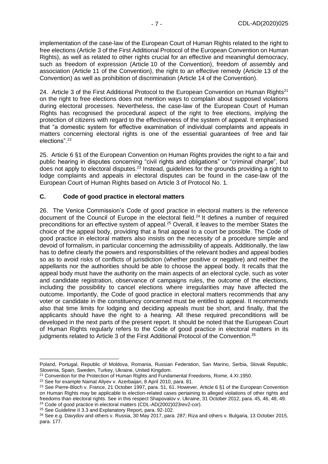implementation of the case-law of the European Court of Human Rights related to the right to free elections (Article 3 of the First Additional Protocol of the European Convention on Human Rights), as well as related to other rights crucial for an effective and meaningful democracy, such as freedom of expression (Article 10 of the Convention), freedom of assembly and association (Article 11 of the Convention), the right to an effective remedy (Article 13 of the Convention) as well as prohibition of discrimination (Article 14 of the Convention).

24. Article 3 of the First Additional Protocol to the European Convention on Human Rights<sup>21</sup> on the right to free elections does not mention ways to complain about supposed violations during electoral processes. Nevertheless, the case-law of the European Court of Human Rights has recognised the procedural aspect of the right to free elections, implying the protection of citizens with regard to the effectiveness of the system of appeal. It emphasised that "a domestic system for effective examination of individual complaints and appeals in matters concerning electoral rights is one of the essential guarantees of free and fair elections".<sup>22</sup>

25. Article 6 §1 of the European Convention on Human Rights provides the right to a fair and public hearing in disputes concerning "civil rights and obligations" or "criminal charge", but does not apply to electoral disputes. $2^3$  Instead, guidelines for the grounds providing a right to lodge complaints and appeals in electoral disputes can be found in the case-law of the European Court of Human Rights based on Article 3 of Protocol No. 1.

#### <span id="page-6-0"></span>**C. Code of good practice in electoral matters**

26. The Venice Commission's Code of good practice in electoral matters is the reference document of the Council of Europe in the electoral field.<sup>24</sup> It defines a number of required preconditions for an effective system of appeal.<sup>25</sup> Overall, it leaves to the member States the choice of the appeal body, providing that a final appeal to a court be possible. The Code of good practice in electoral matters also insists on the necessity of a procedure simple and devoid of formalism, in particular concerning the admissibility of appeals. Additionally, the law has to define clearly the powers and responsibilities of the relevant bodies and appeal bodies so as to avoid risks of conflicts of jurisdiction (whether positive or negative) and neither the appellants nor the authorities should be able to choose the appeal body. It recalls that the appeal body must have the authority on the main aspects of an electoral cycle, such as voter and candidate registration, observance of campaigns rules, the outcome of the elections, including the possibility to cancel elections where irregularities may have affected the outcome. Importantly, the Code of good practice in electoral matters recommends that any voter or candidate in the constituency concerned must be entitled to appeal. It recommends also that time limits for lodging and deciding appeals must be short, and finally, that the applicants should have the right to a hearing. All these required preconditions will be developed in the next parts of the present report. It should be noted that the European Court of Human Rights regularly refers to the Code of good practice in electoral matters in its judgments related to Article 3 of the First Additional Protocol of the Convention.<sup>26</sup>

Poland, Portugal, Republic of Moldova, Romania, Russian Federation, San Marino, Serbia, Slovak Republic, Slovenia, Spain, Sweden, Turkey, Ukraine, United Kingdom.

<sup>21</sup> Convention for the Protection of Human Rights and Fundamental Freedoms, Rome, 4.XI.1950.

<sup>&</sup>lt;sup>22</sup> See for example Namat Aliyev v. Azerbaijan, 8 April 2010, para. 81.

<sup>&</sup>lt;sup>23</sup> See Pierre-Bloch v. France, 21 October 1997, para. 51, 61. However, Article 6 §1 of the European Convention on Human Rights may be applicable to election-related cases pertaining to alleged violations of other rights and freedoms than electoral rights. See in this respect Shapovalov v. Ukraine, 31 October 2012, para. 45, 46, 48, 49. <sup>24</sup> Code of good practice in electoral matters (CDL-AD(2002)023rev2-cor).

<sup>25</sup> See Guideline II 3.3 and Explanatory Report, para. 92-102.

<sup>&</sup>lt;sup>26</sup> See e.g. Davydov and others v. Russia, 30 May 2017, para. 287; Riza and others v. Bulgaria, 13 October 2015, para. 177.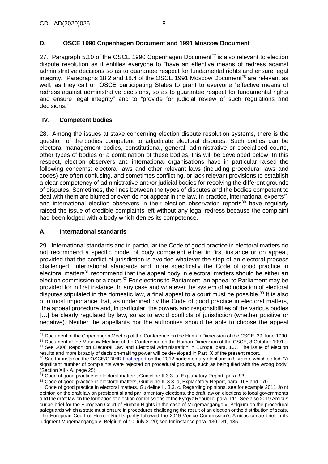# <span id="page-7-0"></span>**D. OSCE 1990 Copenhagen Document and 1991 Moscow Document**

27. Paragraph 5.10 of the OSCE 1990 Copenhagen Document<sup>27</sup> is also relevant to election dispute resolution as it entitles everyone to "have an effective means of redress against administrative decisions so as to quarantee respect for fundamental rights and ensure legal integrity." Paragraphs 18.2 and 18.4 of the OSCE 1991 Moscow Document<sup>28</sup> are relevant as well, as they call on OSCE participating States to grant to everyone "effective means of redress against administrative decisions, so as to guarantee respect for fundamental rights and ensure legal integrity" and to "provide for judicial review of such regulations and decisions."

# <span id="page-7-1"></span>**IV. Competent bodies**

28. Among the issues at stake concerning election dispute resolution systems, there is the question of the bodies competent to adjudicate electoral disputes. Such bodies can be electoral management bodies, constitutional, general, administrative or specialised courts, other types of bodies or a combination of these bodies; this will be developed below. In this respect, election observers and international organisations have in particular raised the following concerns: electoral laws and other relevant laws (including procedural laws and codes) are often confusing, and sometimes conflicting, or lack relevant provisions to establish a clear competency of administrative and/or judicial bodies for resolving the different grounds of disputes. Sometimes, the lines between the types of disputes and the bodies competent to deal with them are blurred or even do not appear in the law. In practice, international experts<sup>29</sup> and international election observers in their election observation reports $30$  have regularly raised the issue of credible complaints left without any legal redress because the complaint had been lodged with a body which denies its competence.

# <span id="page-7-2"></span>**A. International standards**

29. International standards and in particular the Code of good practice in electoral matters do not recommend a specific model of body competent either in first instance or on appeal, provided that the conflict of jurisdiction is avoided whatever the step of an electoral process challenged. International standards and more specifically the Code of good practice in electoral matters<sup>31</sup> recommend that the appeal body in electoral matters should be either an election commission or a court.<sup>32</sup> For elections to Parliament, an appeal to Parliament may be provided for in first instance. In any case and whatever the system of adjudication of electoral disputes stipulated in the domestic law, a final appeal to a court must be possible.<sup>33</sup> It is also of utmost importance that, as underlined by the Code of good practice in electoral matters, "the appeal procedure and, in particular, the powers and responsibilities of the various bodies [...] be clearly regulated by law, so as to avoid conflicts of jurisdiction (whether positive or negative). Neither the appellants nor the authorities should be able to choose the appeal

<sup>28</sup> Document of the Moscow Meeting of the Conference on the Human Dimension of the CSCE, 3 October 1991.

<sup>&</sup>lt;sup>27</sup> Document of the Copenhagen Meeting of the Conference on the Human Dimension of the CSCE, 29 June 1990.

<sup>&</sup>lt;sup>29</sup> See 2006 Report on Electoral Law and Electoral Administration in Europe, para. 167. The issue of election results and more broadly of decision-making power will be developed in Part IX of the present report.

<sup>30</sup> See for instance the OSCE/ODIHR [final report](https://www.osce.org/odihr/elections/98578?download=true) on the 2012 parliamentary elections in Ukraine, which stated: "A significant number of complaints were rejected on procedural grounds, such as being filed with the wrong body" (Section XII - A, page 25).

<sup>&</sup>lt;sup>31</sup> Code of good practice in electoral matters, Guideline II 3.3. a, Explanatory Report, para. 93.

<sup>&</sup>lt;sup>32</sup> Code of good practice in electoral matters, Guideline II. 3.3. a, Explanatory Report, para. 168 and 170.

<sup>33</sup> Code of good practice in electoral matters, Guideline II. 3.3. c. Regarding opinions, see for example 2011 Joint opinion on the draft law on presidential and parliamentary elections, the draft law on elections to local governments and the draft law on the formation of election commissions of the Kyrgyz Republic, para. 111. See also 2019 Amicus curiae brief for the European Court of Human Rights in the case of Mugemangango v. Belgium on the procedural safeguards which a state must ensure in procedures challenging the result of an election or the distribution of seats. The European Court of Human Rights partly followed the 2019 Venice Commission's Amicus curiae brief in its judgment Mugemangango v. Belgium of 10 July 2020; see for instance para. 130-131, 135.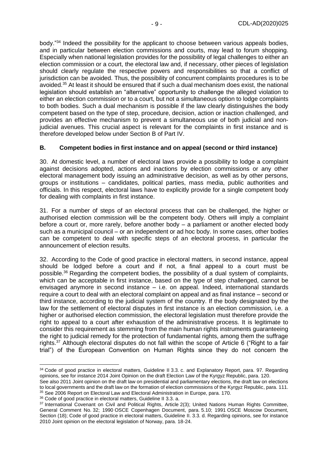body."<sup>34</sup> Indeed the possibility for the applicant to choose between various appeals bodies, and in particular between election commissions and courts, may lead to forum shopping. Especially when national legislation provides for the possibility of legal challenges to either an election commission or a court, the electoral law and, if necessary, other pieces of legislation should clearly regulate the respective powers and responsibilities so that a conflict of jurisdiction can be avoided. Thus, the possibility of concurrent complaints procedures is to be avoided.<sup>35</sup> At least it should be ensured that if such a dual mechanism does exist, the national legislation should establish an "alternative" opportunity to challenge the alleged violation to either an election commission or to a court, but not a simultaneous option to lodge complaints to both bodies. Such a dual mechanism is possible if the law clearly distinguishes the body competent based on the type of step, procedure, decision, action or inaction challenged, and provides an effective mechanism to prevent a simultaneous use of both judicial and nonjudicial avenues. This crucial aspect is relevant for the complaints in first instance and is therefore developed below under Section B of Part IV.

## <span id="page-8-0"></span>**B. Competent bodies in first instance and on appeal (second or third instance)**

30. At domestic level, a number of electoral laws provide a possibility to lodge a complaint against decisions adopted, actions and inactions by election commissions or any other electoral management body issuing an administrative decision, as well as by other persons, groups or institutions – candidates, political parties, mass media, public authorities and officials. In this respect, electoral laws have to explicitly provide for a single competent body for dealing with complaints in first instance.

31. For a number of steps of an electoral process that can be challenged, the higher or authorised election commission will be the competent body. Others will imply a complaint before a court or, more rarely, before another body – a parliament or another elected body such as a municipal council – or an independent or ad hoc body. In some cases, other bodies can be competent to deal with specific steps of an electoral process, in particular the announcement of election results.

32. According to the Code of good practice in electoral matters, in second instance, appeal should be lodged before a court and if not, a final appeal to a court must be possible.<sup>36</sup> Regarding the competent bodies, the possibility of a dual system of complaints, which can be acceptable in first instance, based on the type of step challenged, cannot be envisaged anymore in second instance – i.e. on appeal. Indeed, international standards require a court to deal with an electoral complaint on appeal and as final instance – second or third instance, according to the judicial system of the country. If the body designated by the law for the settlement of electoral disputes in first instance is an election commission, i.e. a higher or authorised election commission, the electoral legislation must therefore provide the right to appeal to a court after exhaustion of the administrative process. It is legitimate to consider this requirement as stemming from the main human rights instruments guaranteeing the right to judicial remedy for the protection of fundamental rights, among them the suffrage rights.<sup>37</sup> Although electoral disputes do not fall within the scope of Article 6 ("Right to a fair trial") of the European Convention on Human Rights since they do not concern the

<sup>34</sup> Code of good practice in electoral matters, Guideline II 3.3. c. and Explanatory Report, para. 97. Regarding opinions, see for instance 2014 Joint Opinion on the draft Election Law of the Kyrgyz Republic, para. 120.

See also 2011 Joint opinion on the draft law on presidential and parliamentary elections, the draft law on elections to local governments and the draft law on the formation of election commissions of the Kyrgyz Republic, para. 111. <sup>35</sup> See 2006 Report on Electoral Law and Electoral Administration in Europe, para. 170.

<sup>36</sup> Code of good practice in electoral matters, Guideline II 3.3. a.

<sup>37</sup> International Covenant on Civil and Political Rights, Article 2(3); United Nations Human Rights Committee, General Comment No. 32; 1990 OSCE Copenhagen Document, para. 5.10; 1991 OSCE Moscow Document, Section (18); Code of good practice in electoral matters, Guideline II. 3.3. d. Regarding opinions, see for instance 2010 Joint opinion on the electoral legislation of Norway, para. 18-24.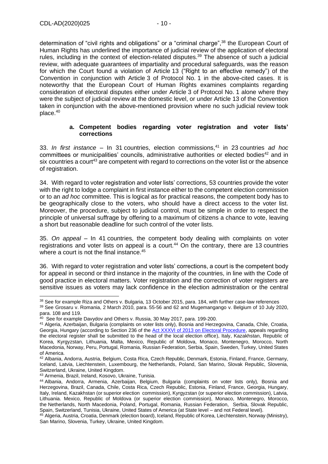determination of "civil rights and obligations" or a "criminal charge",<sup>38</sup> the European Court of Human Rights has underlined the importance of judicial review of the application of electoral rules, including in the context of election-related disputes.<sup>39</sup> The absence of such a judicial review, with adequate guarantees of impartiality and procedural safeguards, was the reason for which the Court found a violation of Article 13 ("Right to an effective remedy") of the Convention in conjunction with Article 3 of Protocol No. 1 in the above-cited cases. It is noteworthy that the European Court of Human Rights examines complaints regarding consideration of electoral disputes either under Article 3 of Protocol No. 1 alone where they were the subject of judicial review at the domestic level, or under Article 13 of the Convention taken in conjunction with the above-mentioned provision where no such judicial review took place.<sup>40</sup>

#### **a. Competent bodies regarding voter registration and voter lists' corrections**

<span id="page-9-0"></span>33. *In first instance* – In 31 countries, election commissions,<sup>41</sup> in 23 countries *ad hoc* committees or municipalities' councils, administrative authorities or elected bodies<sup>42</sup> and in six countries a court<sup>43</sup> are competent with regard to corrections on the voter list or the absence of registration.

34. With regard to voter registration and voter lists' corrections, 53 countries provide the voter with the right to lodge a complaint in first instance either to the competent election commission or to an *ad hoc* committee. This is logical as for practical reasons, the competent body has to be geographically close to the voters, who should have a direct access to the voter list. Moreover, the procedure, subject to judicial control, must be simple in order to respect the principle of universal suffrage by offering to a maximum of citizens a chance to vote, leaving a short but reasonable deadline for such control of the voter lists.

35. *On appeal* – In 41 countries, the competent body dealing with complaints on voter registrations and voter lists on appeal is a court.<sup>44</sup> On the contrary, there are 13 countries where a court is not the final instance.<sup>45</sup>

36. With regard to voter registration and voter lists' corrections, a court is the competent body for appeal in second or third instance in the majority of the countries, in line with the Code of good practice in electoral matters. Voter registration and the correction of voter registers are sensitive issues as voters may lack confidence in the election administration or the central

<sup>43</sup> Armenia, Brazil, Ireland, Kosovo, Ukraine, Tunisia.

<sup>38</sup> See for example Riza and Others v. Bulgaria, 13 October 2015, para. 184, with further case-law references

<sup>39</sup> See Grosaru v. Romania, 2 March 2010, para. 55-56 and 62 and Mugemangango v. Belgium of 10 July 2020, para. 108 and 119.

<sup>&</sup>lt;sup>40</sup> See for example Davydov and Others v. Russia, 30 May 2017, para. 199-200.

<sup>41</sup> Algeria, Azerbaijan, Bulgaria (complaints on voter lists only), Bosnia and Herzegovina, Canada, Chile, Croatia, Georgia, Hungary (according to Section 236 of the [Act XXXVI of 2013 on Electoral Procedure,](https://www.valasztas.hu/documents/538536/548702/Act+XXXVI+of+2013+on+Electoral+Procedure.pdf/2e82a257-b592-4819-923f-eac4a18cfec6) appeals regarding the electoral register shall be submitted to the head of the local election office), Italy, Kazakhstan, Republic of Korea, Kyrgyzstan, Lithuania, Malta, Mexico, Republic of Moldova, Monaco, Montenegro, Morocco, North Macedonia, Norway, Peru, Portugal, Romania, Russian Federation, Serbia, Spain, Sweden, Turkey, United States of America.

<sup>42</sup> Albania, Andorra, Austria, Belgium, Costa Rica, Czech Republic, Denmark, Estonia, Finland, France, Germany, Iceland, Latvia, Liechtenstein, Luxembourg, the Netherlands, Poland, San Marino, Slovak Republic, Slovenia, Switzerland, Ukraine, United Kingdom.

<sup>44</sup> Albania, Andorra, Armenia, Azerbaijan, Belgium, Bulgaria (complaints on voter lists only), Bosnia and Herzegovina, Brazil, Canada, Chile, Costa Rica, Czech Republic, Estonia, Finland, France, Georgia, Hungary, Italy, Ireland, Kazakhstan (or superior election commission), Kyrgyzstan (or superior election commission), Latvia, Lithuania. Mexico, Republic of Moldova (or superior election commission), Monaco*,* Montenegro, Morocco, the Netherlands, North Macedonia, Poland, Portugal, Romania, Russian Federation, Serbia, Slovak Republic, Spain, Switzerland, Tunisia, Ukraine, United States of America (at State level – and not Federal level).

<sup>45</sup> Algeria, Austria, Croatia, Denmark (election board), Iceland, Republic of Korea, Liechtenstein, Norway (Ministry), San Marino, Slovenia, Turkey, Ukraine, United Kingdom.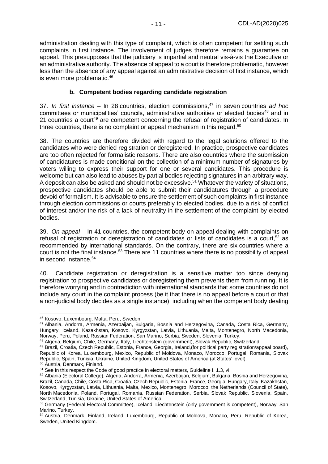administration dealing with this type of complaint, which is often competent for settling such complaints in first instance. The involvement of judges therefore remains a guarantee on appeal. This presupposes that the judiciary is impartial and neutral vis-à-vis the Executive or an administrative authority. The absence of appeal to a court is therefore problematic, however less than the absence of any appeal against an administrative decision of first instance, which is even more problematic.<sup>46</sup>

### **b. Competent bodies regarding candidate registration**

<span id="page-10-0"></span>37. *In first instance* – In 28 countries, election commissions,<sup>47</sup> in seven countries *ad hoc* committees or municipalities' councils, administrative authorities or elected bodies<sup>48</sup> and in 21 countries a court<sup>49</sup> are competent concerning the refusal of registration of candidates. In three countries, there is no complaint or appeal mechanism in this regard.<sup>50</sup>

38. The countries are therefore divided with regard to the legal solutions offered to the candidates who were denied registration or deregistered. In practice, prospective candidates are too often rejected for formalistic reasons. There are also countries where the submission of candidatures is made conditional on the collection of a minimum number of signatures by voters willing to express their support for one or several candidates. This procedure is welcome but can also lead to abuses by partial bodies rejecting signatures in an arbitrary way. A deposit can also be asked and should not be excessive.<sup>51</sup> Whatever the variety of situations, prospective candidates should be able to submit their candidatures through a procedure devoid of formalism. It is advisable to ensure the settlement of such complaints in first instance through election commissions or courts preferably to elected bodies, due to a risk of conflict of interest and/or the risk of a lack of neutrality in the settlement of the complaint by elected bodies.

39. *On appeal* – In 41 countries, the competent body on appeal dealing with complaints on refusal of registration or deregistration of candidates or lists of candidates is a court.<sup>52</sup> as recommended by international standards. On the contrary, there are six countries where a court is not the final instance.<sup>53</sup> There are 11 countries where there is no possibility of appeal in second instance.<sup>54</sup>

40. Candidate registration or deregistration is a sensitive matter too since denying registration to prospective candidates or deregistering them prevents them from running. It is therefore worrying and in contradiction with international standards that some countries do not include any court in the complaint process (be it that there is no appeal before a court or that a non-judicial body decides as a single instance), including when the competent body dealing

<sup>46</sup> Kosovo, Luxembourg, Malta, Peru, Sweden.

<sup>47</sup> Albania, Andorra, Armenia, Azerbaijan, Bulgaria, Bosnia and Herzegovina, Canada, Costa Rica, Germany, Hungary, Iceland, Kazakhstan, Kosovo, Kyrgyzstan, Latvia, Lithuania, Malta, Montenegro, North Macedonia, Norway, Peru, Poland, Russian Federation, San Marino, Serbia, Sweden, Slovenia, Turkey.

<sup>48</sup> Algeria, Belgium, Chile, Germany, Italy, Liechtenstein (government), Slovak Republic, Switzerland.

<sup>49</sup> Brazil*,* Croatia, Czech Republic, Estonia, France, Georgia, Ireland,(for political party registration/appeal board), Republic of Korea, Luxembourg, Mexico, Republic of Moldova, Monaco, Morocco, Portugal, Romania, Slovak Republic, Spain, Tunisia, Ukraine, United Kingdom, United States of America (at States' level).

<sup>50</sup> Austria, Denmark, Finland.

<sup>&</sup>lt;sup>51</sup> See in this respect the Code of good practice in electoral matters, Guideline I. 1.3, vi.

<sup>52</sup> Albania (Electoral College), Algeria, Andorra, Armenia, Azerbaijan, Belgium, Bulgaria, Bosnia and Herzegovina, Brazil, Canada, Chile, Costa Rica, Croatia, Czech Republic, Estonia, France, Georgia, Hungary, Italy, Kazakhstan, Kosovo, Kyrgyzstan, Latvia, Lithuania, Malta, Mexico, Montenegro, Morocco, the Netherlands (Council of State), North Macedonia, Poland, Portugal, Romania, Russian Federation, Serbia, Slovak Republic, Slovenia, Spain, Switzerland, Tunisia, Ukraine, United States of America.

<sup>53</sup> Germany (Federal Electoral Committee), Iceland, Liechtenstein (only government is competent), Norway, San Marino, Turkey.

<sup>54</sup> Austria, Denmark, Finland, Ireland, Luxembourg, Republic of Moldova, Monaco, Peru, Republic of Korea, Sweden, United Kingdom.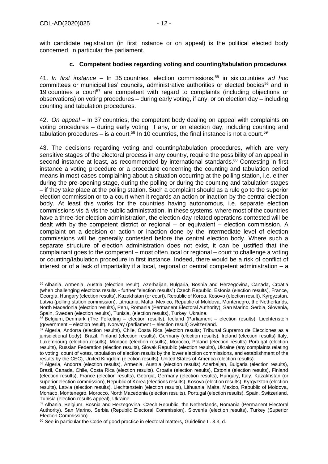with candidate registration (in first instance or on appeal) is the political elected body concerned, in particular the parliament.

## **c. Competent bodies regarding voting and counting/tabulation procedures**

<span id="page-11-0"></span>41. *In first instance* – In 35 countries, election commissions,<sup>55</sup> in six countries *ad hoc*  committees or municipalities' councils, administrative authorities or elected bodies<sup>56</sup> and in 19 countries a court<sup>57</sup> are competent with regard to complaints (including objections or observations) on voting procedures – during early voting, if any, or on election day – including counting and tabulation procedures.

42. *On appeal* – In 37 countries, the competent body dealing on appeal with complaints on voting procedures – during early voting, if any, or on election day, including counting and tabulation procedures – is a court.<sup>58</sup> In 10 countries, the final instance is not a court.<sup>59</sup>

43. The decisions regarding voting and counting/tabulation procedures, which are very sensitive stages of the electoral process in any country, require the possibility of an appeal in second instance at least, as recommended by international standards.<sup>60</sup> Contesting in first instance a voting procedure or a procedure concerning the counting and tabulation period means in most cases complaining about a situation occurring at the polling station, i.e. either during the pre-opening stage, during the polling or during the counting and tabulation stages – if they take place at the polling station. Such a complaint should as a rule go to the superior election commission or to a court when it regards an action or inaction by the central election body. At least this works for the countries having autonomous, i.e. separate election commissions vis-à-vis the public administration. In these systems, where most of the countries have a three-tier election administration, the election-day related operations contested will be dealt with by the competent district or regional – or equivalent – election commission. A complaint on a decision or action or inaction done by the intermediate level of election commissions will be generally contested before the central election body. Where such a separate structure of election administration does not exist, it can be justified that the complainant goes to the competent – most often local or regional – court to challenge a voting or counting/tabulation procedure in first instance. Indeed, there would be a risk of conflict of interest or of a lack of impartiality if a local, regional or central competent administration – a

<sup>55</sup> Albania, Armenia, Austria (election result), Azerbaijan, Bulgaria, Bosnia and Herzegovina, Canada, Croatia (when challenging elections results - further "election results") Czech Republic, Estonia (election results), France, Georgia, Hungary (election results), Kazakhstan (or court), Republic of Korea, Kosovo (election result), Kyrgyzstan, Latvia (polling station commission), Lithuania, Malta, Mexico, Republic of Moldova, Montenegro, the Netherlands, North Macedonia (election results), Peru, Romania (Permanent Electoral Authority), San Marino, Serbia, Slovenia, Spain, Sweden (election results), Tunisia, (election results), Turkey, Ukraine.

<sup>56</sup> Belgium, Denmark (The Folketing – election results), Iceland (Parliament – election results), Liechtenstein (government – election result), Norway (parliament – election result) Switzerland.

<sup>&</sup>lt;sup>57</sup> Algeria, Andorra (election results), Chile, Costa Rica (election results; Tribunal Supremo de Elecciones as a jurisdictional body), Brazil, Finland (election results), Germany (election results), Ireland (election results) Italy, Luxembourg (election results), Monaco (election results), Morocco, Poland (election results) Portugal (election results), Russian Federation (election results), Slovak Republic (election results), Ukraine (any complaints relating to voting, count of votes, tabulation of election results by the lower election commissions, and establishment of the results by the CEC), United Kingdom (election results), United States of America (election results).

<sup>58</sup> Algeria, Andorra (election results), Armenia, Austria (election results) Azerbaijan, Bulgaria (election results), Brazil, Canada, Chile, Costa Rica (election results), Croatia (election results), Estonia (election results), Finland (election results), France (election results), Georgia, Germany (election results), Hungary, Italy, Kazakhstan (or superior election commission), Republic of Korea (elections results), Kosovo (election results), Kyrgyzstan (election results), Latvia (election results), Liechtenstein (election results), Lithuania, Malta, Mexico, Republic of Moldova, Monaco, Montenegro, Morocco, North Macedonia (election results), Portugal (election results), Spain, Switzerland, Tunisia (election results appeal), Ukraine.

<sup>59</sup> Albania, Belgium, Bosnia and Herzegovina, Czech Republic, the Netherlands, Romania (Permanent Electoral Authority), San Marino, Serbia (Republic Electoral Commission), Slovenia (election results), Turkey (Superior Election Commission).

 $60$  See in particular the Code of good practice in electoral matters, Guideline II. 3.3, d.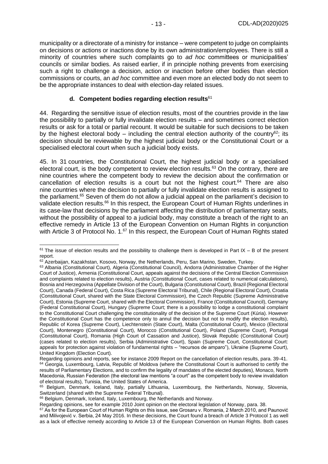municipality or a directorate of a ministry for instance – were competent to judge on complaints on decisions or actions or inactions done by its own administration/employees. There is still a minority of countries where such complaints go to *ad hoc* committees or municipalities' councils or similar bodies. As raised earlier, if in principle nothing prevents from exercising such a right to challenge a decision, action or inaction before other bodies than election commissions or courts, an *ad hoc* committee and even more an elected body do not seem to be the appropriate instances to deal with election-day related issues.

#### **d. Competent bodies regarding election results**<sup>61</sup>

<span id="page-12-0"></span>44. Regarding the sensitive issue of election results, most of the countries provide in the law the possibility to partially or fully invalidate election results – and sometimes correct election results or ask for a total or partial recount. It would be suitable for such decisions to be taken by the highest electoral body – including the central election authority of the country<sup>62</sup>; its decision should be reviewable by the highest judicial body or the Constitutional Court or a specialised electoral court when such a judicial body exists.

45. In 31 countries, the Constitutional Court, the highest judicial body or a specialised electoral court, is the body competent to review election results.<sup>63</sup> On the contrary, there are nine countries where the competent body to review the decision about the confirmation or cancellation of election results is a court but not the highest court. <sup>64</sup> There are also nine countries where the decision to partially or fully invalidate election results is assigned to the parliament.<sup>65</sup> Seven of them do not allow a judicial appeal on the parliament's decision to validate election results.<sup>66</sup> In this respect, the European Court of Human Rights underlines in its case-law that decisions by the parliament affecting the distribution of parliamentary seats, without the possibility of appeal to a judicial body, may constitute a breach of the right to an effective remedy in Article 13 of the European Convention on Human Rights in conjunction with Article 3 of Protocol No.  $1.67$  In this respect, the European Court of Human Rights stated

 $61$  The issue of election results and the possibility to challenge them is developed in Part IX – B of the present report.

<sup>62</sup> Azerbaijan, Kazakhstan, Kosovo, Norway, the Netherlands, Peru, San Marino, Sweden, Turkey.

<sup>&</sup>lt;sup>63</sup> Albania (Constitutional Court), Algeria (Constitutional Council), Andorra (Administrative Chamber of the Higher Court of Justice), Armenia (Constitutional Court, appeals against the decisions of the Central Election Commission and complaints related to election results), Austria (Constitutional Court, cases related to numerical calculations), Bosnia and Herzegovina (Appellate Division of the Court), Bulgaria (Constitutional Court), Brazil (Regional Electoral Court), Canada (Federal Court), Costa Rica (Supreme Electoral Tribunal), Chile (Regional Electoral Court), Croatia (Constitutional Court, shared with the State Electoral Commission), the Czech Republic (Supreme Administrative Court), Estonia (Supreme Court, shared with the Electoral Commission), France (Constitutional Council), Germany (Federal Constitutional Court), Hungary (Supreme Court; there is a possibility to lodge a constitutional complaint to the Constitutional Court challenging the constitutionality of the decision of the Supreme Court (Kúria). However the Constitutional Court has the competence only to annul the decision but not to modify the election results), Republic of Korea (Supreme Court), Liechtenstein (State Court), Malta (Constitutional Court), Mexico (Electoral Court), Montenegro (Constitutional Court), Morocco (Constitutional Court), Poland (Supreme Court), Portugal (Constitutional Court), Romania (High Court of Cassation and Justice), Slovak Republic (Constitutional Court) (cases related to election results), Serbia (Administrative Court), Spain (Supreme Court, Constitutional Court: appeals for protection against violation of fundamental rights – "recursos de amparo"), Ukraine (Supreme Court), United Kingdom (Election Court).

Regarding opinions and reports, see for instance 2009 Report on the cancellation of election results, para. 39-41. <sup>64</sup> Georgia, Luxembourg, Latvia, Republic of Moldova (where the Constitutional Court is authorised to certify the results of Parliamentary Elections, and to confirm the legality of mandates of the elected deputies), Monaco, North Macedonia, Russian Federation (the electoral law mentions "a court" as the competent body to review invalidation of electoral results), Tunisia, the United States of America.

<sup>65</sup> Belgium, Denmark, Iceland, Italy, partially Lithuania, Luxembourg, the Netherlands, Norway, Slovenia, Switzerland (shared with the Supreme Federal Tribunal).

<sup>66</sup> Belgium, Denmark, Iceland, Italy, Luxembourg, the Netherlands and Norway.

Regarding opinions, see for example 2010 Joint opinion on the electoral legislation of Norway, para. 38.

<sup>67</sup> As for the European Court of Human Rights on this issue, see Grosaru v. Romania, 2 March 2010, and Paunović and Milivojević v. Serbia, 24 May 2016. In these decisions, the Court found a breach of Article 3 Protocol 1 as well as a lack of effective remedy according to Article 13 of the European Convention on Human Rights. Both cases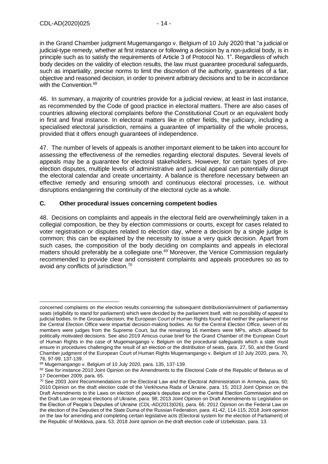in the Grand Chamber judgment Mugemangango v. Belgium of 10 July 2020 that "a judicial or judicial-type remedy, whether at first instance or following a decision by a non-judicial body, is in principle such as to satisfy the requirements of Article 3 of Protocol No. 1". Regardless of which body decides on the validity of election results, the law must guarantee procedural safeguards, such as impartiality, precise norms to limit the discretion of the authority, guarantees of a fair, objective and reasoned decision, in order to prevent arbitrary decisions and to be in accordance with the Convention. 68

46. In summary, a majority of countries provide for a judicial review, at least in last instance, as recommended by the Code of good practice in electoral matters. There are also cases of countries allowing electoral complaints before the Constitutional Court or an equivalent body in first and final instance. In electoral matters like in other fields, the judiciary, including a specialised electoral jurisdiction, remains a guarantee of impartiality of the whole process, provided that it offers enough guarantees of independence.

47. The number of levels of appeals is another important element to be taken into account for assessing the effectiveness of the remedies regarding electoral disputes. Several levels of appeals may be a guarantee for electoral stakeholders. However, for certain types of preelection disputes, multiple levels of administrative and judicial appeal can potentially disrupt the electoral calendar and create uncertainty. A balance is therefore necessary between an effective remedy and ensuring smooth and continuous electoral processes, i.e. without disruptions endangering the continuity of the electoral cycle as a whole.

# <span id="page-13-0"></span>**C. Other procedural issues concerning competent bodies**

48. Decisions on complaints and appeals in the electoral field are overwhelmingly taken in a collegial composition, be they by election commissions or courts, except for cases related to voter registration or disputes related to election day, where a decision by a single judge is common; this can be explained by the necessity to issue a very quick decision. Apart from such cases, the composition of the body deciding on complaints and appeals in electoral matters should preferably be a collegiate one.<sup>69</sup> Moreover, the Venice Commission regularly recommended to provide clear and consistent complaints and appeals procedures so as to avoid any conflicts of jurisdiction.<sup>70</sup>

concerned complaints on the election results concerning the subsequent distribution/annulment of parliamentary seats (eligibility to stand for parliament) which were decided by the parliament itself, with no possibility of appeal to judicial bodies. In the Grosaru decision, the European Court of Human Rights found that neither the parliament nor the Central Election Office were impartial decision-making bodies. As for the Central Election Office, seven of its members were judges from the Supreme Court, but the remaining 16 members were MPs, which allowed for politically motivated decisions. See also 2019 Amicus curiae brief for the Grand Chamber of the European Court of Human Rights in the case of Mugemangango v. Belgium on the procedural safeguards which a state must ensure in procedures challenging the result of an election or the distribution of seats, para. 27, 50, and the Grand Chamber judgment of the European Court of Human Rights Mugemangango v. Belgium of 10 July 2020, para. 70, 76, 97-99, 137-139.

<sup>68</sup> Mugemangango v. Belgium of 10 July 2020, para. 135, 137-139.

<sup>69</sup> See for instance 2010 Joint Opinion on the Amendments to the Electoral Code of the Republic of Belarus as of 17 December 2009, para. 65.

<sup>70</sup> See 2003 Joint Recommendations on the Electoral Law and the Electoral Administration in Armenia, para. 50; 2010 Opinion on the draft election code of the Verkhovna Rada of Ukraine, para. 15; 2013 Joint Opinion on the Draft Amendments to the Laws on election of people's deputies and on the Central Election Commission and on the Draft Law on repeat elections of Ukraine, para. 98; 2013 Joint Opinion on Draft Amendments to Legislation on the Election of People's Deputies of Ukraine (CDL-AD(2013)026), para. 66; 2012 Opinion on the Federal Law on the election of the Deputies of the State Duma of the Russian Federation, para. 41-42, 114-115; 2018 Joint opinion on the law for amending and completing certain legislative acts (Electoral system for the election of Parliament) of the Republic of Moldova, para. 53; 2018 Joint opinion on the draft election code of Uzbekistan, para. 13.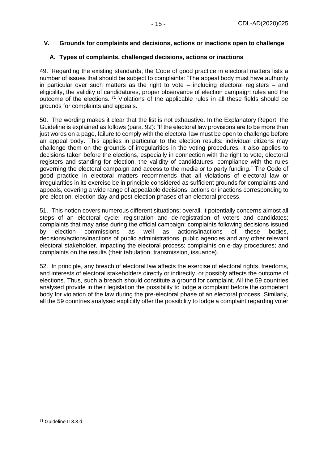## <span id="page-14-0"></span>**V. Grounds for complaints and decisions, actions or inactions open to challenge**

# <span id="page-14-1"></span>**A. Types of complaints, challenged decisions, actions or inactions**

49. Regarding the existing standards, the Code of good practice in electoral matters lists a number of issues that should be subject to complaints: "The appeal body must have authority in particular over such matters as the right to vote – including electoral registers – and eligibility, the validity of candidatures, proper observance of election campaign rules and the outcome of the elections."<sup>71</sup> Violations of the applicable rules in all these fields should be grounds for complaints and appeals.

50. The wording makes it clear that the list is not exhaustive. In the Explanatory Report, the Guideline is explained as follows (para. 92): "If the electoral law provisions are to be more than just words on a page, failure to comply with the electoral law must be open to challenge before an appeal body. This applies in particular to the election results: individual citizens may challenge them on the grounds of irregularities in the voting procedures. It also applies to decisions taken before the elections, especially in connection with the right to vote, electoral registers and standing for election, the validity of candidatures, compliance with the rules governing the electoral campaign and access to the media or to party funding." The Code of good practice in electoral matters recommends that all violations of electoral law or irregularities in its exercise be in principle considered as sufficient grounds for complaints and appeals, covering a wide range of appealable decisions, actions or inactions corresponding to pre-election, election-day and post-election phases of an electoral process.

51. This notion covers numerous different situations; overall, it potentially concerns almost all steps of an electoral cycle: registration and de-registration of voters and candidates; complaints that may arise during the official campaign; complaints following decisions issued by election commissions as well as actions/inactions of these bodies, decisions/actions/inactions of public administrations, public agencies and any other relevant electoral stakeholder, impacting the electoral process; complaints on e-day procedures; and complaints on the results (their tabulation, transmission, issuance).

52. In principle, any breach of electoral law affects the exercise of electoral rights, freedoms, and interests of electoral stakeholders directly or indirectly, or possibly affects the outcome of elections. Thus, such a breach should constitute a ground for complaint. All the 59 countries analysed provide in their legislation the possibility to lodge a complaint before the competent body for violation of the law during the pre-electoral phase of an electoral process. Similarly, all the 59 countries analysed explicitly offer the possibility to lodge a complaint regarding voter

<sup>71</sup> Guideline II 3.3.d.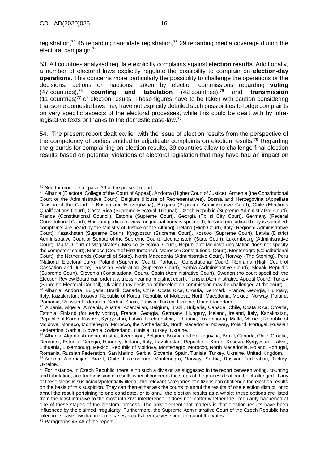registration,<sup>72</sup> 45 regarding candidate registration,<sup>73</sup> 29 regarding media coverage during the electoral campaign. 74

53. All countries analysed regulate explicitly complaints against **election results**. Additionally, a number of electoral laws explicitly regulate the possibility to complain on **election-day operations**. This concerns more particularly the possibility to challenge the operations or the decisions, actions or inactions, taken by election commissions regarding **voting**  $(47$  countries),  $75$ **counting and tabulation** (42 countries),<sup>76</sup> <sup>76</sup> and **transmission**  $(11$  countries)<sup>77</sup> of election results. These figures have to be taken with caution considering that some domestic laws may have not explicitly detailed such possibilities to lodge complaints on very specific aspects of the electoral processes, while this could be dealt with by infralegislative texts or thanks to the domestic case-law.<sup>78</sup>

54. The present report dealt earlier with the issue of election results from the perspective of the competency of bodies entitled to adjudicate complaints on election results.<sup>79</sup> Regarding the grounds for complaining on election results, 39 countries allow to challenge final election results based on potential violations of electoral legislation that may have had an impact on

<sup>72</sup> See for more detail para. 36 of the present report.

<sup>73</sup> Albania (Electoral College of the Court of Appeal), Andorra (Higher Court of Justice), Armenia (the Constitutional Court or the Administrative Court), Belgium (House of Representatives), Bosnia and Herzegovina (Appellate Division of the Court of Bosnia and Herzegovina), Bulgaria (Supreme Administrative Court), Chile (Elections Qualifications Court), Costa Rica (Supreme Electoral Tribunal), Czech Republic (Supreme Administrative Court), France (Constitutional Council), Estonia (Supreme Court), Georgia (Tbilisi City Court), Germany (Federal Constitutional Court), Hungary (judicial review, no judicial body is specified), Iceland (no judicial body is specified, complaints are heard by the Ministry of Justice or the Althing), Ireland (High Court), Italy (Regional Administrative Court), Kazakhstan (Supreme Court), Kyrgyzstan (Supreme Court), Kosovo (Supreme Court), Latvia (District Administrative Court or Senate of the Supreme Court), Liechtenstein (State Court), Luxembourg (Administrative Court), Malta (Court of Magistrates), Mexico (Electoral Court), Republic of Moldova (legislation does not specify the competent court), Monaco (Court of First Instance), Morocco (Constitutional Court), Montenegro (Constitutional Court), the Netherlands (Council of State), North Macedonia (Administrative Court), Norway (The Storting), Peru (National Electoral Jury), Poland (Supreme Court), Portugal (Constitutional Court), Romania (High Court of Cassation and Justice), Russian Federation (Supreme Court), Serbia (Administrative Court), Slovak Republic (Supreme Court), Slovenia (Constitutional Court), Spain (Administrative Court), Sweden (no court specified; the Election Review Board can order a witness hearing in district court), Tunisia (Administrative Appeal Court), Turkey (Supreme Electoral Council), Ukraine (any decision of the election commission may be challenged at the court).

<sup>74</sup> Albania, Andorra, Bulgaria, Brazil, Canada, Chile, Costa Rica, Croatia, Denmark, France, Georgia, Hungary, Italy, Kazakhstan, Kosovo, Republic of Korea, Republic of Moldova, North Macedonia, Mexico, Norway, Poland, Romania, Russian Federation, Serbia, Spain, Tunisia, Turkey, Ukraine, United Kingdom.

<sup>75</sup> Albania, Algeria, Armenia, Austria, Azerbaijan, Belgium, Brazil, Bulgaria, Canada, Chile, Costa Rica, Croatia, Estonia, Finland (for early voting), France, Georgia, Germany, Hungary, Iceland, Ireland, Italy, Kazakhstan, Republic of Korea, Kosovo, Kyrgyzstan, Latvia, Liechtenstein, Lithuania, Luxembourg, Malta, Mexico, Republic of Moldova, Monaco, Montenegro, Morocco, the Netherlands, North Macedonia, Norway, Poland, Portugal, Russian Federation, Serbia, Slovenia, Switzerland, Tunisia, Turkey, Ukraine.

<sup>76</sup> Albania, Algeria, Armenia, Austria, Azerbaijan, Belgium, Bosnia and Herzegovina, Brazil, Canada, Chile, Croatia, Denmark, Estonia, Georgia, Hungary, Ireland, Italy, Kazakhstan, Republic of Korea, Kosovo, Kyrgyzstan, Latvia, Lithuania, Luxembourg, Mexico, Republic of Moldova, Montenegro, Morocco, North Macedonia, Poland, Portugal, Romania, Russian Federation, San Marino, Serbia, Slovenia, Spain, Tunisia, Turkey, Ukraine, United Kingdom. <sup>77</sup> Austria, Azerbaijan, Brazil, Chile, Luxembourg, Montenegro, Norway, Serbia, Russian Federation, Turkey,

Ukraine.

 $78$  For instance, in Czech Republic, there is no such a division as suggested in the report between voting, counting and tabulation, and transmission of results when it concerns the steps of the process that can be challenged. If any of these steps is suspicious/potentially illegal, the relevant categories of citizens can challenge the election results on the basis of this suspicion. They can then either ask the courts to annul the results of one election district, or to annul the result pertaining to one candidate, or to annul the election results as a whole; these options are listed from the least intrusive to the most intrusive interference. It does not matter whether the irregularity happened at one of these stages of the electoral process. The only element that matters is that election results have been influenced by the claimed irregularity. Furthermore, the Supreme Administrative Court of the Czech Republic has ruled in its case law that in some cases, courts themselves should recount the votes.

<sup>&</sup>lt;sup>79</sup> Paragraphs 45-48 of the report.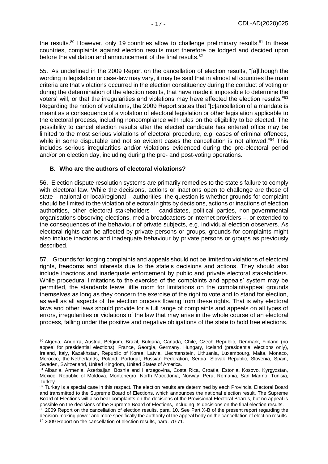the results.<sup>80</sup> However, only 19 countries allow to challenge preliminary results.<sup>81</sup> In these countries, complaints against election results must therefore be lodged and decided upon before the validation and announcement of the final results.<sup>82</sup>

55. As underlined in the 2009 Report on the cancellation of election results, "[a]lthough the wording in legislation or case-law may vary, it may be said that in almost all countries the main criteria are that violations occurred in the election constituency during the conduct of voting or during the determination of the election results, that have made it impossible to determine the voters' will, or that the irregularities and violations may have affected the election results."<sup>83</sup> Regarding the notion of violations, the 2009 Report states that "[c]ancellation of a mandate is meant as a consequence of a violation of electoral legislation or other legislation applicable to the electoral process, including noncompliance with rules on the eligibility to be elected. The possibility to cancel election results after the elected candidate has entered office may be limited to the most serious violations of electoral procedure, *e.g*. cases of criminal offences, while in some disputable and not so evident cases the cancellation is not allowed."<sup>84</sup> This includes serious irregularities and/or violations evidenced during the pre-electoral period and/or on election day, including during the pre- and post-voting operations.

#### <span id="page-16-0"></span>**B. Who are the authors of electoral violations?**

56. Election dispute resolution systems are primarily remedies to the state's failure to comply with electoral law. While the decisions, actions or inactions open to challenge are those of state – national or local/regional – authorities, the question is whether grounds for complaint should be limited to the violation of electoral rights by decisions, actions or inactions of election authorities, other electoral stakeholders – candidates, political parties, non-governmental organisations observing elections, media broadcasters or internet providers –, or extended to the consequences of the behaviour of private subjects, e.g. individual election observers. As electoral rights can be affected by private persons or groups, grounds for complaints might also include inactions and inadequate behaviour by private persons or groups as previously described.

57. Grounds for lodging complaints and appeals should not be limited to violations of electoral rights, freedoms and interests due to the state's decisions and actions. They should also include inactions and inadequate enforcement by public and private electoral stakeholders. While procedural limitations to the exercise of the complaints and appeals' system may be permitted, the standards leave little room for limitations on the complaint/appeal grounds themselves as long as they concern the exercise of the right to vote and to stand for election, as well as all aspects of the election process flowing from these rights. That is why electoral laws and other laws should provide for a full range of complaints and appeals on all types of errors, irregularities or violations of the law that may arise in the whole course of an electoral process, falling under the positive and negative obligations of the state to hold free elections.

<sup>80</sup> Algeria, Andorra, Austria, Belgium, Brazil, Bulgaria, Canada, Chile, Czech Republic, Denmark, Finland (no appeal for presidential elections), France, Georgia, Germany, Hungary, Iceland (presidential elections only), Ireland, Italy, Kazakhstan, Republic of Korea, Latvia, Liechtenstein, Lithuania, Luxembourg, Malta, Monaco, Morocco, the Netherlands, Poland, Portugal, Russian Federation, Serbia, Slovak Republic, Slovenia, Spain, Sweden, Switzerland, United Kingdom, United States of America.

<sup>81</sup> Albania, Armenia, Azerbaijan, Bosnia and Herzegovina, Costa Rica, Croatia, Estonia, Kosovo, Kyrgyzstan, Mexico, Republic of Moldova, Montenegro, North Macedonia, Norway, Peru, Romania, San Marino, Tunisia, Turkey.

<sup>82</sup> Turkey is a special case in this respect. The election results are determined by each Provincial Electoral Board and transmitted to the Supreme Board of Elections, which announces the national election result. The Supreme Board of Elections will also hear complaints on the decisions of the Provisional Electoral Boards, but no appeal is possible on the decisions of the Supreme Board of Elections, including its decisions on the final election results.

<sup>83 2009</sup> Report on the cancellation of election results, para. 10. See Part X-B of the present report regarding the decision-making power and more specifically the authority of the appeal body on the cancellation of election results. 84 2009 Report on the cancellation of election results, para. 70-71.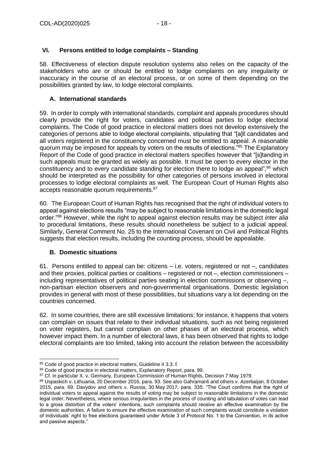# <span id="page-17-0"></span>**VI. Persons entitled to lodge complaints – Standing**

58. Effectiveness of election dispute resolution systems also relies on the capacity of the stakeholders who are or should be entitled to lodge complaints on any irregularity or inaccuracy in the course of an electoral process, or on some of them depending on the possibilities granted by law, to lodge electoral complaints.

## <span id="page-17-1"></span>**A. International standards**

59. In order to comply with international standards, complaint and appeals procedures should clearly provide the right for voters, candidates and political parties to lodge electoral complaints. The Code of good practice in electoral matters does not develop extensively the categories of persons able to lodge electoral complaints, stipulating that "[a]ll candidates and all voters registered in the constituency concerned must be entitled to appeal. A reasonable quorum may be imposed for appeals by voters on the results of elections."<sup>85</sup> The Explanatory Report of the Code of good practice in electoral matters specifies however that "[s]tanding in such appeals must be granted as widely as possible. It must be open to every elector in the constituency and to every candidate standing for election there to lodge an appeal",<sup>86</sup> which should be interpreted as the possibility for other categories of persons involved in electoral processes to lodge electoral complaints as well. The European Court of Human Rights also accepts reasonable quorum requirements.<sup>87</sup>

60. The European Court of Human Rights has recognised that the right of individual voters to appeal against elections results "may be subject to reasonable limitations in the domestic legal order."<sup>88</sup> However, while the right to appeal against election results may be subject *inter alia*  to procedural limitations, these results should nonetheless be subject to a judicial appeal. Similarly, General Comment No. 25 to the International Covenant on Civil and Political Rights suggests that election results, including the counting process, should be appealable.

## <span id="page-17-2"></span>**B. Domestic situations**

61. Persons entitled to appeal can be: citizens – i.e. voters, registered or not –, candidates and their proxies, political parties or coalitions – registered or not –, election commissioners – including representatives of political parties seating in election commissions or observing –, non-partisan election observers and non-governmental organisations. Domestic legislation provides in general with most of these possibilities, but situations vary a lot depending on the countries concerned.

62. In some countries, there are still excessive limitations: for instance, it happens that voters can complain on issues that relate to their individual situations, such as not being registered on voter registers, but cannot complain on other phases of an electoral process, which however impact them. In a number of electoral laws, it has been observed that rights to lodge electoral complaints are too limited, taking into account the relation between the accessibility

<sup>85</sup> Code of good practice in electoral matters, Guideline II 3.3. f.

<sup>86</sup> Code of good practice in electoral matters, Explanatory Report, para. 99.

<sup>87</sup> Cf. in particular X. v. Germany, European Commission of Human Rights, Decision 7 May 1979.

<sup>88</sup> Uspaskich v. Lithuania, 20 December 2016, para. 93. See also Gahramanli and others v. Azerbaijan, 8 October 2015, para. 69. Davydov and others v. Russia, 30 May 2017, para. 335: "The Court confirms that the right of individual voters to appeal against the results of voting may be subject to reasonable limitations in the domestic legal order. Nevertheless, where serious irregularities in the process of counting and tabulation of votes can lead to a gross distortion of the voters' intentions, such complaints should receive an effective examination by the domestic authorities. A failure to ensure the effective examination of such complaints would constitute a violation of individuals' right to free elections guaranteed under Article 3 of Protocol No. 1 to the Convention, in its active and passive aspects."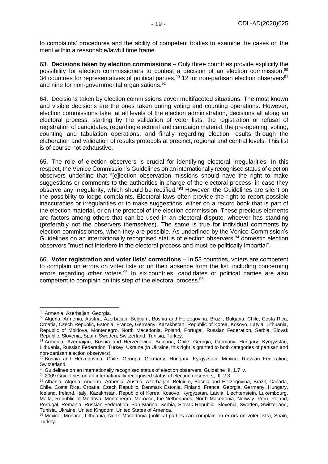to complaints' procedures and the ability of competent bodies to examine the cases on the merit within a reasonable/lawful time frame.

63. **Decisions taken by election commissions** – Only three countries provide explicitly the possibility for election commissioners to contest a decision of an election commission,<sup>89</sup> 34 countries for representatives of political parties,<sup>90</sup> 12 for non-partisan election observers<sup>91</sup> and nine for non-governmental organisations.<sup>92</sup>

64. Decisions taken by election commissions cover multifaceted situations. The most known and visible decisions are the ones taken during voting and counting operations. However, election commissions take, at all levels of the election administration, decisions all along an electoral process, starting by the validation of voter lists, the registration or refusal of registration of candidates, regarding electoral and campaign material, the pre-opening, voting, counting and tabulation operations, and finally regarding election results through the elaboration and validation of results protocols at precinct, regional and central levels. This list is of course not exhaustive.

65. The role of election observers is crucial for identifying electoral irregularities. In this respect, the Venice Commission's Guidelines on an internationally recognised status of election observers underline that "[e]lection observation missions should have the right to make suggestions or comments to the authorities in charge of the electoral process, in case they observe any irregularity, which should be rectified."<sup>33</sup> However, the Guidelines are silent on the possibility to lodge complaints. Electoral laws often provide the right to report possible inaccuracies or irregularities or to make suggestions, either on a record book that is part of the election material, or on the protocol of the election commission. These precious elements are factors among others that can be used in an electoral dispute, whoever has standing (preferably not the observers themselves). The same is true for individual comments by election commissioners, when they are possible. As underlined by the Venice Commission's Guidelines on an internationally recognised status of election observers,<sup>94</sup> domestic election observers "must not interfere in the electoral process and must be politically impartial".

66. **Voter registration and voter lists' corrections** – In 53 countries, voters are competent to complain on errors on voter lists or on their absence from the list, including concerning errors regarding other voters.<sup>95</sup> In six countries, candidates or political parties are also competent to complain on this step of the electoral process.<sup>96</sup>

<sup>89</sup> Armenia, Azerbaijan, Georgia.

<sup>90</sup> Algeria, Armenia, Austria, Azerbaijan, Belgium, Bosnia and Herzegovina, Brazil, Bulgaria, Chile, Costa Rica, Croatia, Czech Republic, Estonia, France, Germany, Kazakhstan, Republic of Korea, Kosovo, Latvia, Lithuania, Republic of Moldova, Montenegro, North Macedonia, Poland, Portugal, Russian Federation, Serbia, Slovak Republic, Slovenia, Spain, Sweden, Switzerland, Tunisia, Turkey.

<sup>91</sup> Armenia, Azerbaijan, Bosnia and Herzegovina, Bulgaria, Chile, Georgia, Germany, Hungary, Kyrgyzstan, Lithuania, Russian Federation, Turkey, Ukraine (in Ukraine, this right is granted to both categories of partisan and non-partisan election observers).

<sup>92</sup> Bosnia and Herzegovina, Chile, Georgia, Germany, Hungary, Kyrgyzstan, Mexico, Russian Federation, Switzerland.

<sup>93</sup> Guidelines on an internationally recognised status of election observers, Guideline III. 1.7 iv.

<sup>94 2009</sup> Guidelines on an internationally recognised status of election observers, III. 2.3.

<sup>95</sup> Albania, Algeria, Andorra, Armenia, Austria, Azerbaijan, Belgium, Bosnia and Herzegovina, Brazil, Canada, Chile, Costa Rica, Croatia, Czech Republic, Denmark Estonia, Finland, France, Georgia, Germany, Hungary, Iceland, Ireland, Italy, Kazakhstan, Republic of Korea, Kosovo, Kyrgyzstan, Latvia, Liechtenstein, Luxembourg, Malta, Republic of Moldova, Montenegro, Morocco, the Netherlands, North Macedonia, Norway, Peru, Poland, Portugal, Romania, Russian Federation, San Marino, Serbia, Slovak Republic, Slovenia, Sweden, Switzerland, Tunisia, Ukraine, United Kingdom, United States of America.

<sup>96</sup> Mexico, Monaco, Lithuania, North Macedonia (political parties can complain on errors on voter lists), Spain, Turkey.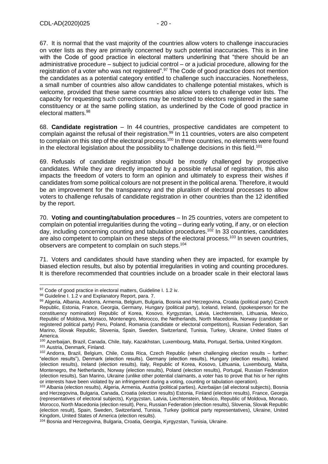67. It is normal that the vast majority of the countries allow voters to challenge inaccuracies on voter lists as they are primarily concerned by such potential inaccuracies. This is in line with the Code of good practice in electoral matters underlining that "there should be an administrative procedure – subject to judicial control – or a judicial procedure, allowing for the registration of a voter who was not registered".<sup>97</sup> The Code of good practice does not mention the candidates as a potential category entitled to challenge such inaccuracies. Nonetheless, a small number of countries also allow candidates to challenge potential mistakes, which is welcome, provided that these same countries also allow voters to challenge voter lists. The capacity for requesting such corrections may be restricted to electors registered in the same constituency or at the same polling station, as underlined by the Code of good practice in electoral matters.<sup>98</sup>

68. **Candidate registration** – In 44 countries, prospective candidates are competent to complain against the refusal of their registration.<sup>99</sup> In 11 countries, voters are also competent to complain on this step of the electoral process.<sup>100</sup> In three countries, no elements were found in the electoral legislation about the possibility to challenge decisions in this field.<sup>101</sup>

69. Refusals of candidate registration should be mostly challenged by prospective candidates. While they are directly impacted by a possible refusal of registration, this also impacts the freedom of voters to form an opinion and ultimately to express their wishes if candidates from some political colours are not present in the political arena. Therefore, it would be an improvement for the transparency and the pluralism of electoral processes to allow voters to challenge refusals of candidate registration in other countries than the 12 identified by the report.

70. **Voting and counting/tabulation procedures** – In 25 countries, voters are competent to complain on potential irregularities during the voting – during early voting, if any, or on election day, including concerning counting and tabulation procedures.<sup>102</sup> In 33 countries, candidates are also competent to complain on these steps of the electoral process.<sup>103</sup> In seven countries. observers are competent to complain on such steps. 104

71. Voters and candidates should have standing when they are impacted, for example by biased election results, but also by potential irregularities in voting and counting procedures. It is therefore recommended that countries include on a broader scale in their electoral laws

<sup>97</sup> Code of good practice in electoral matters, Guideline I. 1.2 iv.

<sup>98</sup> Guideline I. 1.2 v and Explanatory Report, para. 7.

<sup>99</sup> Algeria, Albania, Andorra, Armenia, Belgium, Bulgaria, Bosnia and Herzegovina, Croatia (political party) Czech Republic, Estonia, France, Georgia, Germany, Hungary (political party), Iceland, Ireland, (spokesperson for the constituency nomination) Republic of Korea, Kosovo, Kyrgyzstan, Latvia, Liechtenstein, Lithuania, Mexico, Republic of Moldova, Monaco, Montenegro, Morocco, the Netherlands, North Macedonia, Norway (candidate or registered political party) Peru, Poland, Romania (candidate or electoral competitors), Russian Federation, San Marino, Slovak Republic, Slovenia, Spain, Sweden, Switzerland, Tunisia, Turkey, Ukraine, United States of America.

<sup>100</sup> Azerbaijan, Brazil, Canada, Chile, Italy, Kazakhstan, Luxembourg, Malta, Portugal, Serbia, United Kingdom. <sup>101</sup> Austria, Denmark, Finland.

<sup>102</sup> Andorra, Brazil, Belgium, Chile, Costa Rica, Czech Republic (when challenging election results – further: "election results"), Denmark (election results), Germany (election results), Hungary (election results), Iceland (election results), Ireland (election results), Italy, Republic of Korea, Kosovo, Lithuania, Luxembourg, Malta, Montenegro, the Netherlands, Norway (election results), Poland (election results), Portugal, Russian Federation (election results), San Marino, Ukraine (unlike other potential claimants, a voter has to prove that his or her rights or interests have been violated by an infringement during a voting, counting or tabulation operation).

<sup>103</sup> Albania (election results), Algeria, Armenia, Austria (political parties), Azerbaijan (all electoral subjects), Bosnia and Herzegovina, Bulgaria, Canada, Croatia (election results) Estonia, Finland (election results), France, Georgia (representatives of electoral subjects), Kyrgyzstan, Latvia, Liechtenstein, Mexico, Republic of Moldova, Monaco, Morocco, North Macedonia (election result), Peru, Russian Federation (election results), Slovenia, Slovak Republic (election result), Spain, Sweden, Switzerland, Tunisia, Turkey (political party representatives), Ukraine, United Kingdom, United States of America (election results).

<sup>104</sup> Bosnia and Herzegovina, Bulgaria, Croatia, Georgia, Kyrgyzstan, Tunisia, Ukraine.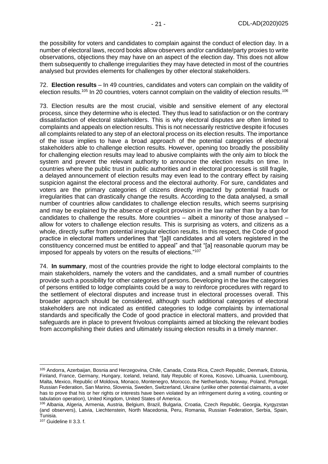the possibility for voters and candidates to complain against the conduct of election day. In a number of electoral laws, record books allow observers and/or candidate/party proxies to write observations, objections they may have on an aspect of the election day. This does not allow them subsequently to challenge irregularities they may have detected in most of the countries analysed but provides elements for challenges by other electoral stakeholders.

72. **Election results** – In 49 countries, candidates and voters can complain on the validity of election results.<sup>105</sup> In 20 countries, voters cannot complain on the validity of election results.<sup>106</sup>

73. Election results are the most crucial, visible and sensitive element of any electoral process, since they determine who is elected. They thus lead to satisfaction or on the contrary dissatisfaction of electoral stakeholders. This is why electoral disputes are often limited to complaints and appeals on election results. This is not necessarily restrictive despite it focuses all complaints related to any step of an electoral process on its election results. The importance of the issue implies to have a broad approach of the potential categories of electoral stakeholders able to challenge election results. However, opening too broadly the possibility for challenging election results may lead to abusive complaints with the only aim to block the system and prevent the relevant authority to announce the election results on time. In countries where the public trust in public authorities and in electoral processes is still fragile, a delayed announcement of election results may even lead to the contrary effect by raising suspicion against the electoral process and the electoral authority. For sure, candidates and voters are the primary categories of citizens directly impacted by potential frauds or irregularities that can drastically change the results. According to the data analysed, a small number of countries allow candidates to challenge election results, which seems surprising and may be explained by the absence of explicit provision in the law rather than by a ban for candidates to challenge the results. More countries – albeit a minority of those analysed – allow for voters to challenge election results. This is surprising as voters, and citizens as a whole, directly suffer from potential irregular election results. In this respect, the Code of good practice in electoral matters underlines that "[a]ll candidates and all voters registered in the constituency concerned must be entitled to appeal" and that "[a] reasonable quorum may be imposed for appeals by voters on the results of elections."<sup>107</sup>

74. **In summary**, most of the countries provide the right to lodge electoral complaints to the main stakeholders, namely the voters and the candidates, and a small number of countries provide such a possibility for other categories of persons. Developing in the law the categories of persons entitled to lodge complaints could be a way to reinforce procedures with regard to the settlement of electoral disputes and increase trust in electoral processes overall. This broader approach should be considered, although such additional categories of electoral stakeholders are not indicated as entitled categories to lodge complaints by international standards and specifically the Code of good practice in electoral matters, and provided that safeguards are in place to prevent frivolous complaints aimed at blocking the relevant bodies from accomplishing their duties and ultimately issuing election results in a timely manner.

<sup>105</sup> Andorra, Azerbaijan, Bosnia and Herzegovina, Chile, Canada, Costa Rica, Czech Republic, Denmark, Estonia, Finland, France, Germany, Hungary, Iceland, Ireland, Italy Republic of Korea, Kosovo, Lithuania, Luxembourg, Malta, Mexico, Republic of Moldova, Monaco, Montenegro, Morocco, the Netherlands, Norway, Poland, Portugal, Russian Federation, San Marino, Slovenia, Sweden, Switzerland, Ukraine (unlike other potential claimants, a voter has to prove that his or her rights or interests have been violated by an infringement during a voting, counting or tabulation operation), United Kingdom, United States of America.

<sup>106</sup> Albania, Algeria, Armenia, Austria, Belgium, Brazil, Bulgaria, Croatia, Czech Republic, Georgia, Kyrgyzstan (and observers), Latvia, Liechtenstein, North Macedonia, Peru, Romania, Russian Federation, Serbia, Spain, Tunisia.

<sup>107</sup> Guideline II 3.3. f.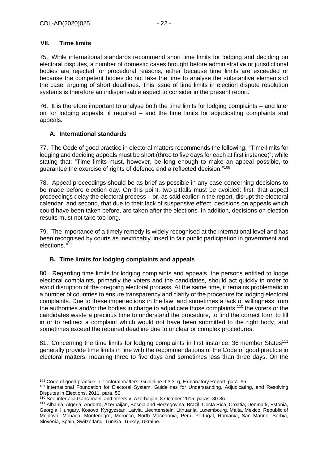## <span id="page-21-0"></span>**VII. Time limits**

75. While international standards recommend short time limits for lodging and deciding on electoral disputes, a number of domestic cases brought before administrative or jurisdictional bodies are rejected for procedural reasons, either because time limits are exceeded or because the competent bodies do not take the time to analyse the substantive elements of the case, arguing of short deadlines. This issue of time limits in election dispute resolution systems is therefore an indispensable aspect to consider in the present report.

76. It is therefore important to analyse both the time limits for lodging complaints – and later on for lodging appeals, if required – and the time limits for adjudicating complaints and appeals.

# <span id="page-21-1"></span>**A. International standards**

77. The Code of good practice in electoral matters recommends the following: "Time-limits for lodging and deciding appeals must be short (three to five days for each at first instance)"; while stating that: "Time limits must, however, be long enough to make an appeal possible, to guarantee the exercise of rights of defence and a reflected decision."<sup>108</sup>

78. Appeal proceedings should be as brief as possible in any case concerning decisions to be made before election day. On this point, two pitfalls must be avoided: first, that appeal proceedings delay the electoral process – or, as said earlier in the report, disrupt the electoral calendar, and second, that due to their lack of suspensive effect, decisions on appeals which could have been taken before, are taken after the elections. In addition, decisions on election results must not take too long.

79. The importance of a timely remedy is widely recognised at the international level and has been recognised by courts as inextricably linked to fair public participation in government and elections.<sup>109</sup>

# <span id="page-21-2"></span>**B. Time limits for lodging complaints and appeals**

80. Regarding time limits for lodging complaints and appeals, the persons entitled to lodge electoral complaints, primarily the voters and the candidates, should act quickly in order to avoid disruption of the on-going electoral process. At the same time, it remains problematic in a number of countries to ensure transparency and clarity of the procedure for lodging electoral complaints. Due to these imperfections in the law, and sometimes a lack of willingness from the authorities and/or the bodies in charge to adjudicate those complaints,<sup>110</sup> the voters or the candidates waste a precious time to understand the procedure, to find the correct form to fill in or to redirect a complaint which would not have been submitted to the right body, and sometimes exceed the required deadline due to unclear or complex procedures.

81. Concerning the time limits for lodging complaints in first instance, 36 member States<sup>111</sup> generally provide time limits in line with the recommendations of the Code of good practice in electoral matters, meaning three to five days and sometimes less than three days. On the

<sup>108</sup> Code of good practice in electoral matters, Guideline II 3.3. g, Explanatory Report, para. 95.

<sup>109</sup> International Foundation for Electoral System, Guidelines for Understanding, Adjudicating, and Resolving Disputes in Elections, 2011, para. 50.

<sup>110</sup> See inter alia Gahramanli and others v. Azerbaijan, 8 October 2015, paras. 80-86.

<sup>111</sup> Albania, Algeria, Andorra, Azerbaijan, Bosnia and Herzegovina, Brazil, Costa Rica, Croatia, Denmark, Estonia, Georgia, Hungary, Kosovo, Kyrgyzstan, Latvia, Liechtenstein, Lithuania, Luxembourg, Malta, Mexico, Republic of Moldova, Monaco, Montenegro, Morocco, North Macedonia, Peru, Portugal, Romania, San Marino, Serbia, Slovenia, Spain, Switzerland, Tunisia, Turkey, Ukraine.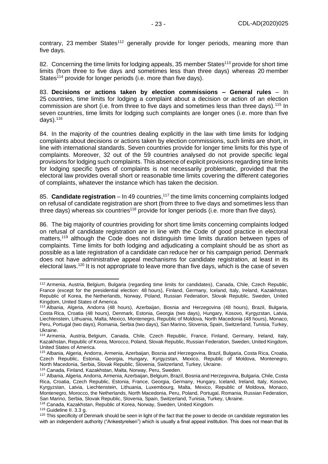contrary, 23 member States<sup>112</sup> generally provide for longer periods, meaning more than five days.

82. Concerning the time limits for lodging appeals, 35 member States<sup>113</sup> provide for short time limits (from three to five days and sometimes less than three days) whereas 20 member States<sup>114</sup> provide for longer periods (i.e. more than five days).

83. **Decisions or actions taken by election commissions – General rules** – In 25 countries, time limits for lodging a complaint about a decision or action of an election commission are short (i.e. from three to five days and sometimes less than three days).<sup>115</sup> In seven countries, time limits for lodging such complaints are longer ones (i.e. more than five days). $116$ 

84. In the majority of the countries dealing explicitly in the law with time limits for lodging complaints about decisions or actions taken by election commissions, such limits are short, in line with international standards. Seven countries provide for longer time limits for this type of complaints. Moreover, 32 out of the 59 countries analysed do not provide specific legal provisions for lodging such complaints. This absence of explicit provisions regarding time limits for lodging specific types of complaints is not necessarily problematic, provided that the electoral law provides overall short or reasonable time limits covering the different categories of complaints, whatever the instance which has taken the decision.

85. **Candidate registration** – In 49 countries,<sup>117</sup> the time limits concerning complaints lodged on refusal of candidate registration are short (from three to five days and sometimes less than three days) whereas six countries<sup>118</sup> provide for longer periods (i.e. more than five days).

86. The big majority of countries providing for short time limits concerning complaints lodged on refusal of candidate registration are in line with the Code of good practice in electoral matters,<sup>119</sup> although the Code does not distinguish time limits duration between types of complaints. Time limits for both lodging and adjudicating a complaint should be as short as possible as a late registration of a candidate can reduce her or his campaign period. Denmark does not have administrative appeal mechanisms for candidate registration, at least in its electoral laws.<sup>120</sup> It is not appropriate to leave more than five days, which is the case of seven

<sup>112</sup> Armenia, Austria, Belgium, Bulgaria (regarding time limits for candidates), Canada, Chile, Czech Republic, France (except for the presidential election: 48 hours), Finland, Germany, Iceland, Italy, Ireland, Kazakhstan, Republic of Korea, the Netherlands, Norway, Poland, Russian Federation, Slovak Republic, Sweden, United Kingdom, United States of America.

<sup>113</sup> Albania, Algeria, Andorra (48 hours), Azerbaijan, Bosnia and Herzegovina (48 hours), Brazil, Bulgaria, Costa Rica, Croatia (48 hours), Denmark, Estonia, Georgia (two days), Hungary, Kosovo, Kyrgyzstan, Latvia, Liechtenstein, Lithuania, Malta, Mexico, Montenegro, Republic of Moldova, North Macedonia (48 hours), Monaco, Peru, Portugal (two days), Romania, Serbia (two days), San Marino, Slovenia, Spain, Switzerland, Tunisia, Turkey, Ukraine.

<sup>114</sup> Armenia, Austria, Belgium, Canada, Chile, Czech Republic, France, Finland, Germany, Ireland, Italy, Kazakhstan, Republic of Korea, Morocco, Poland, Slovak Republic, Russian Federation, Sweden, United Kingdom, United States of America.

<sup>115</sup> Albania, Algeria, Andorra, Armenia, Azerbaijan, Bosnia and Herzegovina, Brazil, Bulgaria, Costa Rica, Croatia, Czech Republic, Estonia, Georgia, Hungary, Kyrgyzstan, Mexico, Republic of Moldova, Montenegro, North Macedonia, Serbia, Slovak Republic, Slovenia, Switzerland, Turkey, Ukraine.

<sup>116</sup> Canada, Finland, Kazakhstan, Malta, Norway, Peru, Sweden.

<sup>117</sup> Albania, Algeria, Andorra, Armenia, Azerbaijan, Belgium, Brazil, Bosnia and Herzegovina, Bulgaria, Chile, Costa Rica, Croatia, Czech Republic, Estonia, France, Georgia, Germany, Hungary, Iceland, Ireland, Italy, Kosovo, Kyrgyzstan, Latvia, Liechtenstein, Lithuania, Luxembourg, Malta, Mexico, Republic of Moldova, Monaco, Montenegro, Morocco, the Netherlands, North Macedonia, Peru, Poland, Portugal, Romania, Russian Federation, San Marino, Serbia, Slovak Republic, Slovenia, Spain, Switzerland, Tunisia, Turkey, Ukraine.

<sup>118</sup> Canada, Kazakhstan, Republic of Korea, Norway, Sweden, United Kingdom.

<sup>119</sup> Guideline II. 3.3 g.

<sup>&</sup>lt;sup>120</sup> This specificity of Denmark should be seen in light of the fact that the power to decide on candidate registration lies with an independent authority ("Ankestyrelsen") which is usually a final appeal institution. This does not mean that its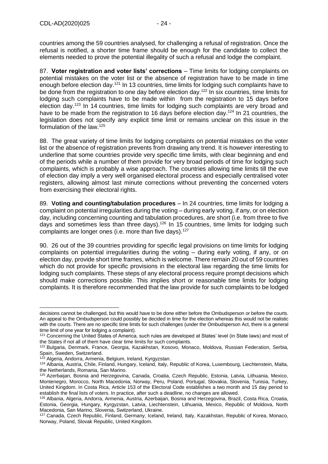countries among the 59 countries analysed, for challenging a refusal of registration. Once the refusal is notified, a shorter time frame should be enough for the candidate to collect the elements needed to prove the potential illegality of such a refusal and lodge the complaint.

87. **Voter registration and voter lists' corrections** – Time limits for lodging complaints on potential mistakes on the voter list or the absence of registration have to be made in time enough before election day.<sup>121</sup> In 13 countries, time limits for lodging such complaints have to be done from the registration to one day before election day.<sup>122</sup> In six countries, time limits for lodging such complaints have to be made within from the registration to 15 days before election day.<sup>123</sup> In 14 countries, time limits for lodging such complaints are very broad and have to be made from the registration to 16 days before election day.<sup>124</sup> In 21 countries, the legislation does not specify any explicit time limit or remains unclear on this issue in the formulation of the law. 125

88. The great variety of time limits for lodging complaints on potential mistakes on the voter list or the absence of registration prevents from drawing any trend. It is however interesting to underline that some countries provide very specific time limits, with clear beginning and end of the periods while a number of them provide for very broad periods of time for lodging such complaints, which is probably a wise approach. The countries allowing time limits till the eve of election day imply a very well organised electoral process and especially centralised voter registers, allowing almost last minute corrections without preventing the concerned voters from exercising their electoral rights.

89. **Voting and counting/tabulation procedures** – In 24 countries, time limits for lodging a complaint on potential irregularities during the voting – during early voting, if any, or on election day, including concerning counting and tabulation procedures, are short (i.e. from three to five days and sometimes less than three days).<sup>126</sup> In 15 countries, time limits for lodging such complaints are longer ones (i.e. more than five days).<sup>127</sup>

90. 26 out of the 39 countries providing for specific legal provisions on time limits for lodging complaints on potential irregularities during the voting – during early voting, if any, or on election day, provide short time frames, which is welcome. There remain 20 out of 59 countries which do not provide for specific provisions in the electoral law regarding the time limits for lodging such complaints. These steps of any electoral process require prompt decisions which should make corrections possible. This implies short or reasonable time limits for lodging complaints. It is therefore recommended that the law provide for such complaints to be lodged

decisions cannot be challenged, but this would have to be done either before the Ombudsperson or before the courts. An appeal to the Ombudsperson could possibly be decided in time for the election whereas this would not be realistic with the courts. There are no specific time limits for such challenges (under the Ombudsperson Act, there is a general time limit of one year for lodging a complaint).

<sup>&</sup>lt;sup>121</sup> Concerning the United States of America, such rules are developed at States' level (in State laws) and most of the States if not all of them have clear time limits for such complaints.

<sup>122</sup> Bulgaria, Denmark, France, Georgia, Kazakhstan, Kosovo, Monaco, Moldova, Russian Federation, Serbia, Spain, Sweden, Switzerland.

<sup>123</sup> Algeria, Andorra, Armenia, Belgium, Ireland, Kyrgyzstan.

<sup>124</sup> Albania, Austria, Chile, Finland, Hungary, Iceland, Italy, Republic of Korea, Luxembourg, Liechtenstein, Malta, the Netherlands, Romania, San Marino.

<sup>125</sup> Azerbaijan, Bosnia and Herzegovina, Canada, Croatia, Czech Republic, Estonia, Latvia, Lithuania, Mexico, Montenegro, Morocco, North Macedonia, Norway, Peru, Poland, Portugal, Slovakia, Slovenia, Tunisia, Turkey, United Kingdom. In Costa Rica, Article 153 of the Electoral Code establishes a two month and 15 day period to establish the final lists of voters. In practice, after such a deadline, no changes are allowed.

<sup>126</sup> Albania, Algeria, Andorra, Armenia, Austria, Azerbaijan, Bosnia and Herzegovina, Brazil, Costa Rica, Croatia, Estonia, Georgia, Hungary, Kyrgyzstan, Latvia, Liechtenstein, Lithuania, Mexico, Republic of Moldova, North Macedonia, San Marino, Slovenia, Switzerland, Ukraine.

<sup>127</sup> Canada, Czech Republic, Finland, Germany, Iceland, Ireland, Italy, Kazakhstan, Republic of Korea, Monaco, Norway, Poland, Slovak Republic, United Kingdom.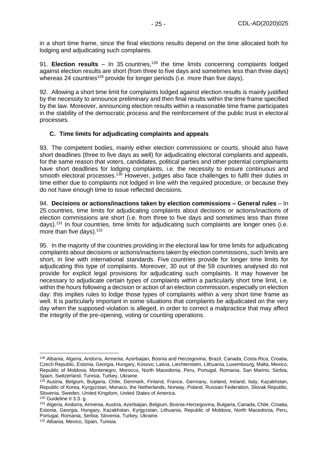in a short time frame, since the final elections results depend on the time allocated both for lodging and adjudicating such complaints.

91. **Election results** – In 35 countries,<sup>128</sup> the time limits concerning complaints lodged against election results are short (from three to five days and sometimes less than three days) whereas 24 countries<sup>129</sup> provide for longer periods (i.e. more than five days).

92. Allowing a short time limit for complaints lodged against election results is mainly justified by the necessity to announce preliminary and then final results within the time frame specified by the law. Moreover, announcing election results within a reasonable time frame participates in the stability of the democratic process and the reinforcement of the public trust in electoral processes.

# <span id="page-24-0"></span>**C. Time limits for adjudicating complaints and appeals**

93. The competent bodies, mainly either election commissions or courts, should also have short deadlines (three to five days as well) for adjudicating electoral complaints and appeals, for the same reason that voters, candidates, political parties and other potential complainants have short deadlines for lodging complaints, i.e. the necessity to ensure continuous and smooth electoral processes.<sup>130</sup> However, judges also face challenges to fulfil their duties in time either due to complaints not lodged in line with the required procedure, or because they do not have enough time to issue reflected decisions.

94. **Decisions or actions/inactions taken by election commissions – General rules** – In 25 countries, time limits for adjudicating complaints about decisions or actions/inactions of election commissions are short (i.e. from three to five days and sometimes less than three days).<sup>131</sup> In four countries, time limits for adjudicating such complaints are longer ones (i.e. more than five days).<sup>132</sup>

95. In the majority of the countries providing in the electoral law for time limits for adjudicating complaints about decisions or actions/inactions taken by election commissions, such limits are short, in line with international standards. Five countries provide for longer time limits for adjudicating this type of complaints. Moreover, 30 out of the 59 countries analysed do not provide for explicit legal provisions for adjudicating such complaints. It may however be necessary to adjudicate certain types of complaints within a particularly short time limit, i.e. within the hours following a decision or action of an election commission, especially on election day: this implies rules to lodge those types of complaints within a very short time frame as well. It is particularly important in some situations that complaints be adjudicated on the very day when the supposed violation is alleged, in order to correct a malpractice that may affect the integrity of the pre-opening, voting or counting operations.

<sup>128</sup> Albania, Algeria, Andorra, Armenia, Azerbaijan, Bosnia and Herzegovina, Brazil, Canada, Costa Rica, Croatia, Czech Republic, Estonia, Georgia, Hungary, Kosovo, Latvia, Liechtenstein, Lithuania, Luxembourg, Malta, Mexico, Republic of Moldova, Montenegro, Morocco, North Macedonia, Peru, Portugal, Romania, San Marino, Serbia, Spain, Switzerland, Tunisia, Turkey, Ukraine.

<sup>129</sup> Austria, Belgium, Bulgaria, Chile, Denmark, Finland, France, Germany, Iceland, Ireland, Italy, Kazakhstan, Republic of Korea, Kyrgyzstan, Monaco, the Netherlands, Norway, Poland, Russian Federation, Slovak Republic, Slovenia, Sweden, United Kingdom, United States of America.

<sup>130</sup> Guideline II 3.3. g.

<sup>131</sup> Algeria, Andorra, Armenia, Austria, Azerbaijan, Belgium, Bosnia-Herzegovina, Bulgaria, Canada, Chile, Croatia, Estonia, Georgia, Hungary, Kazakhstan, Kyrgyzstan, Lithuania, Republic of Moldova, North Macedonia, Peru, Portugal, Romania, Serbia, Slovenia, Turkey, Ukraine.

<sup>132</sup> Albania, Mexico, Spain, Tunisia.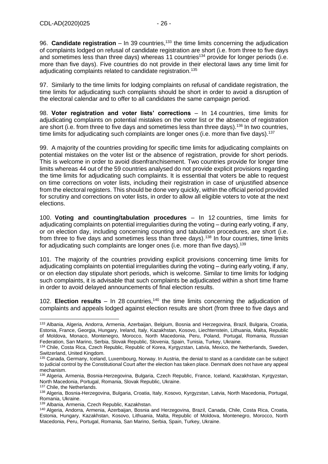96. **Candidate registration** – In 39 countries,<sup>133</sup> the time limits concerning the adjudication of complaints lodged on refusal of candidate registration are short (i.e. from three to five days and sometimes less than three days) whereas 11 countries<sup>134</sup> provide for longer periods (i.e. more than five days). Five countries do not provide in their electoral laws any time limit for adjudicating complaints related to candidate registration.<sup>135</sup>

97. Similarly to the time limits for lodging complaints on refusal of candidate registration, the time limits for adjudicating such complaints should be short in order to avoid a disruption of the electoral calendar and to offer to all candidates the same campaign period.

98. **Voter registration and voter lists' corrections** – In 14 countries, time limits for adjudicating complaints on potential mistakes on the voter list or the absence of registration are short (i.e. from three to five days and sometimes less than three days).<sup>136</sup> In two countries, time limits for adjudicating such complaints are longer ones (i.e. more than five days).<sup>137</sup>

99. A majority of the countries providing for specific time limits for adjudicating complaints on potential mistakes on the voter list or the absence of registration, provide for short periods. This is welcome in order to avoid disenfranchisement. Two countries provide for longer time limits whereas 44 out of the 59 countries analysed do not provide explicit provisions regarding the time limits for adjudicating such complaints. It is essential that voters be able to request on time corrections on voter lists, including their registration in case of unjustified absence from the electoral registers. This should be done very quickly, within the official period provided for scrutiny and corrections on voter lists, in order to allow all eligible voters to vote at the next elections.

100. **Voting and counting/tabulation procedures** – In 12 countries, time limits for adjudicating complaints on potential irregularities during the voting – during early voting, if any, or on election day, including concerning counting and tabulation procedures, are short (i.e. from three to five days and sometimes less than three days).<sup>138</sup> In four countries, time limits for adjudicating such complaints are longer ones (i.e. more than five days).<sup>139</sup>

101. The majority of the countries providing explicit provisions concerning time limits for adjudicating complaints on potential irregularities during the voting – during early voting, if any, or on election day stipulate short periods, which is welcome. Similar to time limits for lodging such complaints, it is advisable that such complaints be adjudicated within a short time frame in order to avoid delayed announcements of final election results.

102. **Election results** – In 28 countries,<sup>140</sup> the time limits concerning the adjudication of complaints and appeals lodged against election results are short (from three to five days and

<sup>133</sup> Albania, Algeria, Andorra, Armenia, Azerbaijan, Belgium, Bosnia and Herzegovina, Brazil, Bulgaria, Croatia, Estonia, France, Georgia, Hungary, Ireland, Italy, Kazakhstan, Kosovo, Liechtenstein, Lithuania, Malta, Republic of Moldova, Monaco, Montenegro, Morocco, North Macedonia, Peru, Poland, Portugal, Romania, Russian Federation, San Marino, Serbia, Slovak Republic, Slovenia, Spain, Tunisia, Turkey, Ukraine.

<sup>134</sup> Chile, Costa Rica, Czech Republic, Republic of Korea, Kyrgyzstan, Latvia, Mexico, the Netherlands, Sweden, Switzerland, United Kingdom.

<sup>&</sup>lt;sup>135</sup> Canada, Germany, Iceland, Luxembourg, Norway. In Austria, the denial to stand as a candidate can be subject to judicial control by the Constitutional Court after the election has taken place. Denmark does not have any appeal mechanism.

<sup>136</sup> Algeria, Armenia, Bosnia-Herzegovina, Bulgaria, Czech Republic, France, Iceland, Kazakhstan, Kyrgyzstan, North Macedonia, Portugal, Romania, Slovak Republic, Ukraine.

<sup>137</sup> Chile, the Netherlands.

<sup>138</sup> Algeria, Bosnia-Herzegovina, Bulgaria, Croatia, Italy, Kosovo, Kyrgyzstan, Latvia, North Macedonia, Portugal, Romania, Ukraine.

<sup>139</sup> Albania, Armenia, Czech Republic, Kazakhstan.

<sup>140</sup> Algeria, Andorra, Armenia, Azerbaijan, Bosnia and Herzegovina, Brazil, Canada, Chile, Costa Rica, Croatia, Estonia, Hungary, Kazakhstan, Kosovo, Lithuania, Malta, Republic of Moldova, Montenegro, Morocco, North Macedonia, Peru, Portugal, Romania, San Marino, Serbia, Spain, Turkey, Ukraine.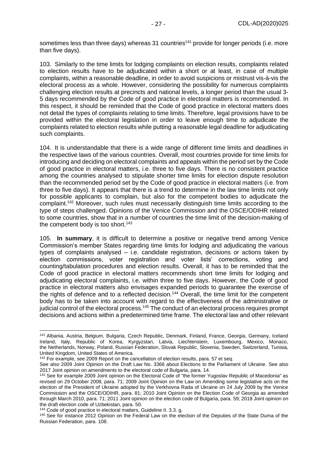sometimes less than three days) whereas 31 countries<sup>141</sup> provide for longer periods (i.e. more than five days).

103. Similarly to the time limits for lodging complaints on election results, complaints related to election results have to be adjudicated within a short or at least, in case of multiple complaints, within a reasonable deadline, in order to avoid suspicions or mistrust vis-à-vis the electoral process as a whole. However, considering the possibility for numerous complaints challenging election results at precincts and national levels, a longer period than the usual 3- 5 days recommended by the Code of good practice in electoral matters is recommended. In this respect, it should be reminded that the Code of good practice in electoral matters does not detail the types of complaints relating to time limits. Therefore, legal provisions have to be provided within the electoral legislation in order to leave enough time to adjudicate the complaints related to election results while putting a reasonable legal deadline for adjudicating such complaints.

104. It is understandable that there is a wide range of different time limits and deadlines in the respective laws of the various countries. Overall, most countries provide for time limits for introducing and deciding on electoral complaints and appeals within the period set by the Code of good practice in electoral matters, i.e. three to five days. There is no consistent practice among the countries analysed to stipulate shorter time limits for election dispute resolution than the recommended period set by the Code of good practice in electoral matters (i.e. from three to five days). It appears that there is a trend to determine in the law time limits not only for possible applicants to complain, but also for the competent bodies to adjudicate the complaint.<sup>142</sup> Moreover, such rules must necessarily distinguish time limits according to the type of steps challenged. Opinions of the Venice Commission and the OSCE/ODIHR related to some countries, show that in a number of countries the time limit of the decision-making of the competent body is too short. $143$ 

105. **In summary**, it is difficult to determine a positive or negative trend among Venice Commission's member States regarding time limits for lodging and adjudicating the various types of complaints analysed – i.e. candidate registration, decisions or actions taken by election commissions, voter registration and voter lists' corrections, voting and counting/tabulation procedures and election results. Overall, it has to be reminded that the Code of good practice in electoral matters recommends short time limits for lodging and adjudicating electoral complaints, i.e. within three to five days. However, the Code of good practice in electoral matters also envisages expanded periods to guarantee the exercise of the rights of defence and to a reflected decision.<sup>144</sup> Overall, the time limit for the competent body has to be taken into account with regard to the effectiveness of the administrative or judicial control of the electoral process.<sup>145</sup> The conduct of an electoral process requires prompt decisions and actions within a predetermined time frame. The electoral law and other relevant

<sup>141</sup> Albania, Austria, Belgium, Bulgaria, Czech Republic, Denmark, Finland, France, Georgia, Germany, Iceland Ireland, Italy, Republic of Korea, Kyrgyzstan, Latvia, Liechtenstein, Luxembourg, Mexico, Monaco, the Netherlands, Norway, Poland, Russian Federation, Slovak Republic, Slovenia, Sweden, Switzerland, Tunisia, United Kingdom, United States of America.

<sup>&</sup>lt;sup>142</sup> For example, see 2009 Report on the cancellation of election results, para. 57 et seq.

See also 2009 Joint Opinion on the Draft Law No. 3366 about Elections to the Parliament of Ukraine. See also 2017 Joint opinion on amendments to the electoral code of Bulgaria, para. 14.

<sup>&</sup>lt;sup>143</sup> See for example 2009 Joint opinion on the Electoral Code of "the former Yugoslav Republic of Macedonia" as revised on 29 October 2008, para. 71; 2009 Joint Opinion on the Law on Amending some legislative acts on the election of the President of Ukraine adopted by the Verkhovna Rada of Ukraine on 24 July 2009 by the Venice Commission and the OSCE/ODIHR, para. 81; 2010 Joint Opinion on the Election Code of Georgia as amended through March 2010, para. 71; 2011 Joint opinion on the election code of Bulgaria, para. 59; 2018 Joint opinion on the draft election code of Uzbekistan, para. 50.

<sup>144</sup> Code of good practice in electoral matters, Guideline II. 3.3. g.

<sup>145</sup> See for instance 2012 Opinion on the Federal Law on the election of the Deputies of the State Duma of the Russian Federation, para. 108.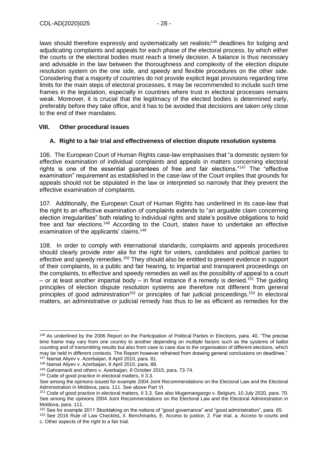laws should therefore expressly and systematically set realistic<sup>146</sup> deadlines for lodging and adjudicating complaints and appeals for each phase of the electoral process, by which either the courts or the electoral bodies must reach a timely decision. A balance is thus necessary and advisable in the law between the thoroughness and complexity of the election dispute resolution system on the one side, and speedy and flexible procedures on the other side. Considering that a majority of countries do not provide explicit legal provisions regarding time limits for the main steps of electoral processes, it may be recommended to include such time frames in the legislation, especially in countries where trust in electoral processes remains weak. Moreover, it is crucial that the legitimacy of the elected bodies is determined early, preferably before they take office, and it has to be avoided that decisions are taken only close to the end of their mandates.

## <span id="page-27-0"></span>**VIII. Other procedural issues**

## <span id="page-27-1"></span>**A. Right to a fair trial and effectiveness of election dispute resolution systems**

106. The European Court of Human Rights case-law emphasises that "a domestic system for effective examination of individual complaints and appeals in matters concerning electoral rights is one of the essential guarantees of free and fair elections."<sup>147</sup> The "effective examination" requirement as established in the case-law of the Court implies that grounds for appeals should not be stipulated in the law or interpreted so narrowly that they prevent the effective examination of complaints.

107. Additionally, the European Court of Human Rights has underlined in its case-law that the right to an effective examination of complaints extends to "an arguable claim concerning election irregularities" both relating to individual rights and state's positive obligations to hold free and fair elections.<sup>148</sup> According to the Court, states have to undertake an effective examination of the applicants' claims.<sup>149</sup>

108. In order to comply with international standards, complaints and appeals procedures should clearly provide *inter alia* for the right for voters, candidates and political parties to effective and speedy remedies.<sup>150</sup> They should also be entitled to present evidence in support of their complaints, to a public and fair hearing, to impartial and transparent proceedings on the complaints, to effective and speedy remedies as well as the possibility of appeal to a court – or at least another impartial body – in final instance if a remedy is denied.<sup>151</sup> The guiding principles of election dispute resolution systems are therefore not different from general principles of good administration<sup>152</sup> or principles of fair judicial proceedings.<sup>153</sup> In electoral matters, an administrative or judicial remedy has thus to be as efficient as remedies for the

<sup>146</sup> As underlined by the 2006 Report on the Participation of Political Parties in Elections, para. 40, "The precise time frame may vary from one country to another depending on multiple factors such as the systems of ballot counting and of transmitting results but also from case to case due to the organisation of different elections, which may be held in different contexts. The Report however refrained from drawing general conclusions on deadlines." <sup>147</sup> Namat Aliyev v. Azerbaijan, 8 April 2010, para. 81.

<sup>148</sup> Namat Aliyev v. Azerbaijan, 8 April 2010, para. 88.

<sup>149</sup> Gahramanli and others v. Azerbaijan, 8 October 2015, para. 73-74.

<sup>&</sup>lt;sup>150</sup> Code of good practice in electoral matters, II 3.3.

See among the opinions issued for example 2004 Joint Recommendations on the Electoral Law and the Electoral Administration in Moldova, para. 111. See above Part VI.

<sup>151</sup> Code of good practice in electoral matters, II 3.3. See also Mugemangango v. Belgium, 10 July 2020, para. 70. See among the opinions 2004 Joint Recommendations on the Electoral Law and the Electoral Administration in Moldova, para. 111.

<sup>152</sup> See for example 2011 Stocktaking on the notions of "good governance" and "good administration", para. 65.

<sup>153</sup> See 2016 Rule of Law Checklist**,** II. Benchmarks, E. Access to justice, 2. Fair trial, a. Access to courts and c. Other aspects of the right to a fair trial.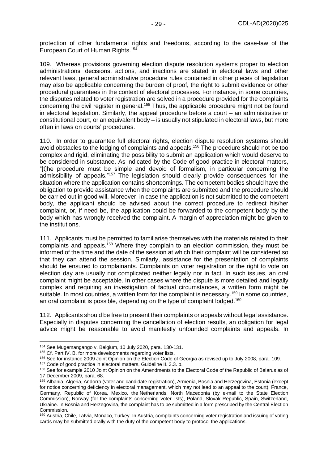protection of other fundamental rights and freedoms, according to the case-law of the European Court of Human Rights.<sup>154</sup>

109. Whereas provisions governing election dispute resolution systems proper to election administrations' decisions, actions, and inactions are stated in electoral laws and other relevant laws, general administrative procedure rules contained in other pieces of legislation may also be applicable concerning the burden of proof, the right to submit evidence or other procedural guarantees in the context of electoral processes. For instance, in some countries, the disputes related to voter registration are solved in a procedure provided for the complaints concerning the civil register in general.<sup>155</sup> Thus, the applicable procedure might not be found in electoral legislation. Similarly, the appeal procedure before a court – an administrative or constitutional court, or an equivalent body – is usually not stipulated in electoral laws, but more often in laws on courts' procedures.

110. In order to guarantee full electoral rights, election dispute resolution systems should avoid obstacles to the lodging of complaints and appeals.<sup>156</sup> The procedure should not be too complex and rigid, eliminating the possibility to submit an application which would deserve to be considered in substance. As indicated by the Code of good practice in electoral matters, "[t]he procedure must be simple and devoid of formalism, in particular concerning the admissibility of appeals."<sup>157</sup> The legislation should clearly provide consequences for the situation where the application contains shortcomings. The competent bodies should have the obligation to provide assistance when the complaints are submitted and the procedure should be carried out in good will. Moreover, in case the application is not submitted to the competent body, the applicant should be advised about the correct procedure to redirect his/her complaint, or, if need be, the application could be forwarded to the competent body by the body which has wrongly received the complaint. A margin of appreciation might be given to the institutions.

111. Applicants must be permitted to familiarise themselves with the materials related to their complaints and appeals.<sup>158</sup> Where they complain to an election commission, they must be informed of the time and the date of the session at which their complaint will be considered so that they can attend the session. Similarly, assistance for the presentation of complaints should be ensured to complainants. Complaints on voter registration or the right to vote on election day are usually not complicated neither legally nor in fact. In such issues, an oral complaint might be acceptable. In other cases where the dispute is more detailed and legally complex and requiring an investigation of factual circumstances, a written form might be suitable. In most countries, a written form for the complaint is necessary,<sup>159</sup> In some countries, an oral complaint is possible, depending on the type of complaint lodged.<sup>160</sup>

112. Applicants should be free to present their complaints or appeals without legal assistance. Especially in disputes concerning the cancellation of election results, an obligation for legal advice might be reasonable to avoid manifestly unfounded complaints and appeals. In

<sup>154</sup> See Mugemangango v. Belgium, 10 July 2020, para. 130-131.

<sup>&</sup>lt;sup>155</sup> Cf. Part IV. B. for more developments regarding voter lists.

<sup>156</sup> See for instance 2009 Joint Opinion on the Election Code of Georgia as revised up to July 2008, para. 109.

<sup>157</sup> Code of good practice in electoral matters, Guideline II. 3.3. b.

<sup>158</sup> See for example 2010 Joint Opinion on the Amendments to the Electoral Code of the Republic of Belarus as of 17 December 2009, para. 68.

<sup>159</sup> Albania, Algeria, Andorra (voter and candidate registration), Armenia, Bosnia and Herzegovina, Estonia (except for notice concerning deficiency in electoral management, which may not lead to an appeal to the court), France, Germany, Republic of Korea, Mexico, the Netherlands, North Macedonia (by e-mail to the State Election Commission), Norway (for the complaints concerning voter lists), Poland, Slovak Republic, Spain, Switzerland, Ukraine. In Bosnia and Herzegovina, the complaint has to be submitted in a form prescribed by the Central Election Commission.

<sup>&</sup>lt;sup>160</sup> Austria, Chile, Latvia, Monaco, Turkey. In Austria, complaints concerning voter registration and issuing of voting cards may be submitted orally with the duty of the competent body to protocol the applications.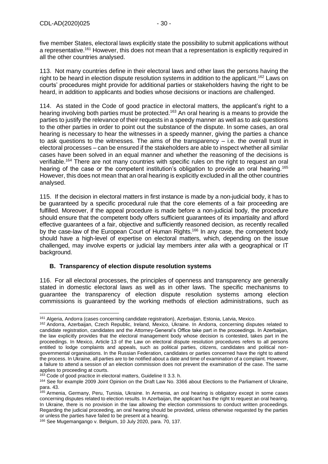five member States, electoral laws explicitly state the possibility to submit applications without a representative.<sup>161</sup> However, this does not mean that a representation is explicitly required in all the other countries analysed.

113. Not many countries define in their electoral laws and other laws the persons having the right to be heard in election dispute resolution systems in addition to the applicant.<sup>162</sup> Laws on courts' procedures might provide for additional parties or stakeholders having the right to be heard, in addition to applicants and bodies whose decisions or inactions are challenged.

114. As stated in the Code of good practice in electoral matters, the applicant's right to a hearing involving both parties must be protected.<sup>163</sup> An oral hearing is a means to provide the parties to justify the relevance of their requests in a speedy manner as well as to ask questions to the other parties in order to point out the substance of the dispute. In some cases, an oral hearing is necessary to hear the witnesses in a speedy manner, giving the parties a chance to ask questions to the witnesses. The aims of the transparency – i.e. the overall trust in electoral processes – can be ensured if the stakeholders are able to inspect whether all similar cases have been solved in an equal manner and whether the reasoning of the decisions is verifiable.<sup>164</sup> There are not many countries with specific rules on the right to request an oral hearing of the case or the competent institution's obligation to provide an oral hearing.<sup>165</sup> However, this does not mean that an oral hearing is explicitly excluded in all the other countries analysed.

115. If the decision in electoral matters in first instance is made by a non-judicial body, it has to be guaranteed by a specific procedural rule that the core elements of a fair proceeding are fulfilled. Moreover, if the appeal procedure is made before a non-judicial body, the procedure should ensure that the competent body offers sufficient guarantees of its impartiality and afford effective guarantees of a fair, objective and sufficiently reasoned decision, as recently recalled by the case-law of the European Court of Human Rights.<sup>166</sup> In any case, the competent body should have a high-level of expertise on electoral matters, which, depending on the issue challenged, may involve experts or judicial lay members *inter alia* with a geographical or IT background.

# <span id="page-29-0"></span>**B. Transparency of election dispute resolution systems**

116. For all electoral processes, the principles of openness and transparency are generally stated in domestic electoral laws as well as in other laws. The specific mechanisms to guarantee the transparency of election dispute resolution systems among election commissions is guaranteed by the working methods of election administrations, such as

<sup>161</sup> Algeria, Andorra (cases concerning candidate registration), Azerbaijan, Estonia, Latvia, Mexico.

<sup>162</sup> Andorra, Azerbaijan, Czech Republic, Ireland, Mexico, Ukraine. In Andorra, concerning disputes related to candidate registration, candidates and the Attorney-General's Office take part in the proceedings. In Azerbaijan, the law explicitly provides that the electoral management body whose decision is contested, takes part in the proceedings. In Mexico, Article 13 of the Law on electoral dispute resolution procedures refers to all persons entitled to lodge complaints and appeals, such as political parties, citizens, candidates and political nongovernmental organisations. In the Russian Federation, candidates or parties concerned have the right to attend the process. In Ukraine, all parties are to be notified about a date and time of examination of a complaint. However, a failure to attend a session of an election commission does not prevent the examination of the case. The same applies to proceeding at courts.

<sup>163</sup> Code of good practice in electoral matters, Guideline II 3.3. h.

<sup>164</sup> See for example 2009 Joint Opinion on the Draft Law No. 3366 about Elections to the Parliament of Ukraine, para. 43.

<sup>&</sup>lt;sup>165</sup> Armenia, Germany, Peru, Tunisia, Ukraine. In Armenia, an oral hearing is obligatory except in some cases concerning disputes related to election results. In Azerbaijan, the applicant has the right to request an oral hearing. In Ukraine, there is no provision in the law allowing the election commissions to conduct written proceedings. Regarding the judicial proceeding, an oral hearing should be provided, unless otherwise requested by the parties or unless the parties have failed to be present at a hearing.

<sup>166</sup> See Mugemangango v. Belgium, 10 July 2020, para. 70, 137.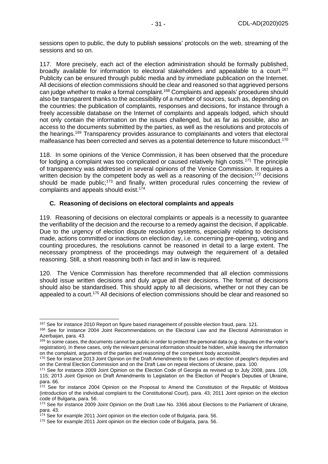sessions open to public, the duty to publish sessions' protocols on the web, streaming of the sessions and so on.

117. More precisely, each act of the election administration should be formally published, broadly available for information to electoral stakeholders and appealable to a court.<sup>167</sup> Publicity can be ensured through public media and by immediate publication on the Internet. All decisions of election commissions should be clear and reasoned so that aggrieved persons can judge whether to make a formal complaint.<sup>168</sup> Complaints and appeals' procedures should also be transparent thanks to the accessibility of a number of sources, such as, depending on the countries: the publication of complaints, responses and decisions, for instance through a freely accessible database on the Internet of complaints and appeals lodged, which should not only contain the information on the issues challenged, but as far as possible, also an access to the documents submitted by the parties, as well as the resolutions and protocols of the hearings. <sup>169</sup> Transparency provides assurance to complainants and voters that electoral malfeasance has been corrected and serves as a potential deterrence to future misconduct.<sup>170</sup>

118. In some opinions of the Venice Commission, it has been observed that the procedure for lodging a complaint was too complicated or caused relatively high costs.<sup>171</sup> The principle of transparency was addressed in several opinions of the Venice Commission. It requires a written decision by the competent body as well as a reasoning of the decision;<sup>172</sup> decisions should be made public;<sup>173</sup> and finally, written procedural rules concerning the review of complaints and appeals should exist.<sup>174</sup>

#### <span id="page-30-0"></span>**C. Reasoning of decisions on electoral complaints and appeals**

119. Reasoning of decisions on electoral complaints or appeals is a necessity to guarantee the verifiability of the decision and the recourse to a remedy against the decision, if applicable. Due to the urgency of election dispute resolution systems, especially relating to decisions made, actions committed or inactions on election day, i.e. concerning pre-opening, voting and counting procedures, the resolutions cannot be reasoned in detail to a large extent. The necessary promptness of the proceedings may outweigh the requirement of a detailed reasoning. Still, a short reasoning both in fact and in law is required.

120. The Venice Commission has therefore recommended that all election commissions should issue written decisions and duly argue all their decisions. The format of decisions should also be standardised. This should apply to all decisions, whether or not they can be appealed to a court.<sup>175</sup> All decisions of election commissions should be clear and reasoned so

<sup>&</sup>lt;sup>167</sup> See for instance 2010 Report on figure based management of possible election fraud, para. 121.

<sup>&</sup>lt;sup>168</sup> See for instance 2004 Joint Recommendations on the Electoral Law and the Electoral Administration in Azerbaijan, para, 43.

<sup>&</sup>lt;sup>169</sup> In some cases, the documents cannot be public in order to protect the personal data (e.g. disputes on the voter's registration). In these cases, only the relevant personal information should be hidden, while leaving the information on the complaint, arguments of the parties and reasoning of the competent body accessible.

<sup>170</sup> See for instance 2013 Joint Opinion on the Draft Amendments to the Laws on election of people's deputies and on the Central Election Commission and on the Draft Law on repeat elections of Ukraine, para. 100.

<sup>171</sup> See for instance 2009 Joint Opinion on the Election Code of Georgia as revised up to July 2008, para. 109, 115; 2013 Joint Opinion on Draft Amendments to Legislation on the Election of People's Deputies of Ukraine, para. 66.

<sup>&</sup>lt;sup>172</sup> See for instance 2004 Opinion on the Proposal to Amend the Constitution of the Republic of Moldova (introduction of the individual complaint to the Constitutional Court), para. 43; 2011 Joint opinion on the election code of Bulgaria, para. 56.

<sup>173</sup> See for instance 2009 Joint Opinion on the Draft Law No. 3366 about Elections to the Parliament of Ukraine, para. 43.

<sup>174</sup> See for example 2011 Joint opinion on the election code of Bulgaria, para. 56.

<sup>&</sup>lt;sup>175</sup> See for example 2011 Joint opinion on the election code of Bulgaria, para. 56.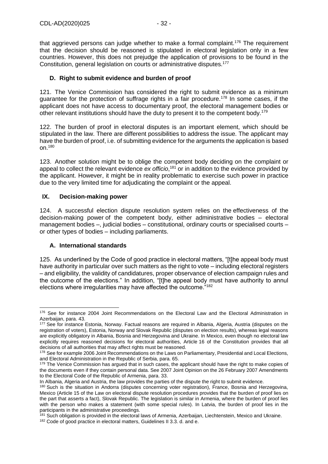that aggrieved persons can judge whether to make a formal complaint.<sup>176</sup> The requirement that the decision should be reasoned is stipulated in electoral legislation only in a few countries. However, this does not prejudge the application of provisions to be found in the Constitution, general legislation on courts or administrative disputes.<sup>177</sup>

## <span id="page-31-0"></span>**D. Right to submit evidence and burden of proof**

121. The Venice Commission has considered the right to submit evidence as a minimum guarantee for the protection of suffrage rights in a fair procedure.<sup>178</sup> In some cases, if the applicant does not have access to documentary proof, the electoral management bodies or other relevant institutions should have the duty to present it to the competent body.<sup>179</sup>

122. The burden of proof in electoral disputes is an important element, which should be stipulated in the law. There are different possibilities to address the issue. The applicant may have the burden of proof, i.e. of submitting evidence for the arguments the application is based on.<sup>180</sup>

123. Another solution might be to oblige the competent body deciding on the complaint or appeal to collect the relevant evidence *ex officio*, <sup>181</sup> or in addition to the evidence provided by the applicant. However, it might be in reality problematic to exercise such power in practice due to the very limited time for adjudicating the complaint or the appeal.

#### <span id="page-31-1"></span>**IX. Decision-making power**

124. A successful election dispute resolution system relies on the effectiveness of the decision-making power of the competent body, either administrative bodies – electoral management bodies –, judicial bodies – constitutional, ordinary courts or specialised courts – or other types of bodies – including parliaments.

## <span id="page-31-2"></span>**A. International standards**

125. As underlined by the Code of good practice in electoral matters, "[t]he appeal body must have authority in particular over such matters as the right to vote – including electoral registers – and eligibility, the validity of candidatures, proper observance of election campaign rules and the outcome of the elections." In addition, "[t]he appeal body must have authority to annul elections where irregularities may have affected the outcome."<sup>182</sup>

<sup>176</sup> See for instance 2004 Joint Recommendations on the Electoral Law and the Electoral Administration in Azerbaijan, para, 43.

<sup>177</sup> See for instance Estonia, Norway. Factual reasons are required in Albania, Algeria, Austria (disputes on the registration of voters), Estonia, Norway and Slovak Republic (disputes on election results), whereas legal reasons are explicitly obligatory in Albania, Bosnia and Herzegovina and Ukraine. In Mexico, even though no electoral law explicitly requires reasoned decisions for electoral authorities, Article 16 of the Constitution provides that all decisions of all authorities that may affect rights must be reasoned.

<sup>178</sup> See for example 2006 Joint Recommendations on the Laws on Parliamentary, Presidential and Local Elections, and Electoral Administration in the Republic of Serbia, para. 65.

<sup>179</sup> The Venice Commission has argued that in such cases, the applicant should have the right to make copies of the documents even if they contain personal data. See 2007 Joint Opinion on the 26 February 2007 Amendments to the Electoral Code of the Republic of Armenia, para. 33.

In Albania, Algeria and Austria, the law provides the parties of the dispute the right to submit evidence.

<sup>180</sup> Such is the situation in Andorra (disputes concerning voter registration), France, Bosnia and Herzegovina, Mexico (Article 15 of the Law on electoral dispute resolution procedures provides that the burden of proof lies on the part that asserts a fact), Slovak Republic. The legislation is similar in Armenia, where the burden of proof lies with the person who makes a statement (with some special rules). In Latvia, the burden of proof lies in the participants in the administrative proceedings.

<sup>&</sup>lt;sup>181</sup> Such obligation is provided in the electoral laws of Armenia, Azerbaijan, Liechtenstein, Mexico and Ukraine.

<sup>182</sup> Code of good practice in electoral matters, Guidelines II 3.3. d. and e.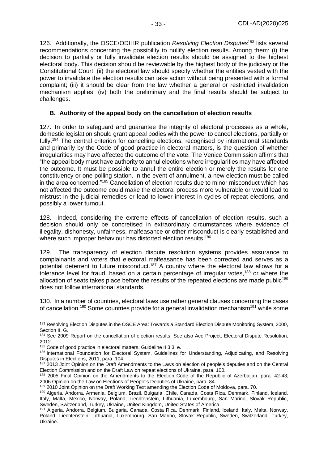126. Additionally, the OSCE/ODIHR publication *Resolving Election Disputes*<sup>183</sup> lists several recommendations concerning the possibility to nullify election results. Among them: (i) the decision to partially or fully invalidate election results should be assigned to the highest electoral body. This decision should be reviewable by the highest body of the judiciary or the Constitutional Court; (ii) the electoral law should specify whether the entities vested with the power to invalidate the election results can take action without being presented with a formal complaint; (iii) it should be clear from the law whether a general or restricted invalidation mechanism applies; (iv) both the preliminary and the final results should be subject to challenges.

#### <span id="page-32-0"></span>**B. Authority of the appeal body on the cancellation of election results**

127. In order to safeguard and guarantee the integrity of electoral processes as a whole, domestic legislation should grant appeal bodies with the power to cancel elections, partially or fully.<sup>184</sup> The central criterion for cancelling elections, recognised by international standards and primarily by the Code of good practice in electoral matters, is the question of whether irregularities may have affected the outcome of the vote. The Venice Commission affirms that "the appeal body must have authority to annul elections where irregularities may have affected the outcome. It must be possible to annul the entire election or merely the results for one constituency or one polling station. In the event of annulment, a new election must be called in the area concerned."<sup>185</sup> Cancellation of election results due to minor misconduct which has not affected the outcome could make the electoral process more vulnerable or would lead to mistrust in the judicial remedies or lead to lower interest in cycles of repeat elections, and possibly a lower turnout.

128. Indeed, considering the extreme effects of cancellation of election results, such a decision should only be concretised in extraordinary circumstances where evidence of illegality, dishonesty, unfairness, malfeasance or other misconduct is clearly established and where such improper behaviour has distorted election results.<sup>186</sup>

129. The transparency of election dispute resolution systems provides assurance to complainants and voters that electoral malfeasance has been corrected and serves as a potential deterrent to future misconduct.<sup>187</sup> A country where the electoral law allows for a tolerance level for fraud, based on a certain percentage of irregular votes,<sup>188</sup> or where the allocation of seats takes place before the results of the repeated elections are made public<sup>189</sup> does not follow international standards.

130. In a number of countries, electoral laws use rather general clauses concerning the cases of cancellation.<sup>190</sup> Some countries provide for a general invalidation mechanism<sup>191</sup> while some

<sup>183</sup> Resolving Election Disputes in the OSCE Area: Towards a Standard Election Dispute Monitoring System, 2000, Section II. G.

<sup>&</sup>lt;sup>184</sup> See 2009 Report on the cancellation of election results. See also Ace Project, Electoral Dispute Resolution, 2012.

<sup>185</sup> Code of good practice in electoral matters, Guideline II 3.3. e.

<sup>186</sup> International Foundation for Electoral System, Guidelines for Understanding, Adjudicating, and Resolving Disputes in Elections, 2011, para. 104.

<sup>&</sup>lt;sup>187</sup> 2013 Joint Opinion on the Draft Amendments to the Laws on election of people's deputies and on the Central Election Commission and on the Draft Law on repeat elections of Ukraine, para. 100.

<sup>188</sup> 2005 Final Opinion on the Amendments to the Election Code of the Republic of Azerbaijan, para. 42-43; 2006 Opinion on the Law on Elections of People's Deputies of Ukraine, para. 84.

<sup>189 2010</sup> Joint Opinion on the Draft Working Text amending the Election Code of Moldova, para. 70.

<sup>190</sup> Algeria, Andorra, Armenia, Belgium, Brazil, Bulgaria, Chile, Canada, Costa Rica, Denmark, Finland, Iceland, Italy, Malta, Mexico, Norway, Poland, Liechtenstein, Lithuania, Luxembourg, San Marino, Slovak Republic, Sweden, Switzerland, Turkey, Ukraine, United Kingdom, United States of America.

<sup>191</sup> Algeria, Andorra, Belgium, Bulgaria, Canada, Costa Rica, Denmark, Finland, Iceland, Italy, Malta, Norway, Poland, Liechtenstein, Lithuania, Luxembourg, San Marino, Slovak Republic, Sweden, Switzerland, Turkey, Ukraine.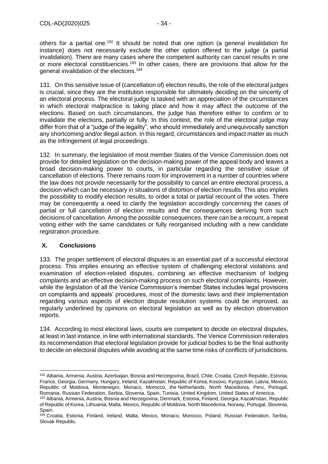others for a partial one.<sup>192</sup> It should be noted that one option (a general invalidation for instance) does not necessarily exclude the other option offered to the judge (a partial invalidation). There are many cases where the competent authority can cancel results in one or more electoral constituencies.<sup>193</sup> In other cases, there are provisions that allow for the general invalidation of the elections.<sup>194</sup>

131. On this sensitive issue of (cancellation of) election results, the role of the electoral judges is crucial, since they are the institution responsible for ultimately deciding on the sincerity of an electoral process. The electoral judge is tasked with an appreciation of the circumstances in which electoral malpractice is taking place and how it may affect the outcome of the elections. Based on such circumstances, the judge has therefore either to confirm or to invalidate the elections, partially or fully. In this context, the role of the electoral judge may differ from that of a "judge of the legality", who should immediately and unequivocally sanction any shortcoming and/or illegal action. In this regard, circumstances and impact matter as much as the infringement of legal proceedings.

132. In summary, the legislation of most member States of the Venice Commission does not provide for detailed legislation on the decision-making power of the appeal body and leaves a broad decision-making power to courts, in particular regarding the sensitive issue of cancellation of elections. There remains room for improvement in a number of countries where the law does not provide necessarily for the possibility to cancel an entire electoral process, a decision which can be necessary in situations of distortion of election results. This also implies the possibility to modify election results, to order a total or partial recount of the votes. There may be consequently a need to clarify the legislation accordingly concerning the cases of partial or full cancellation of election results and the consequences deriving from such decisions of cancellation. Among the possible consequences, there can be a recount, a repeat voting either with the same candidates or fully reorganised including with a new candidate registration procedure.

## <span id="page-33-0"></span>**X. Conclusions**

133. The proper settlement of electoral disputes is an essential part of a successful electoral process. This implies ensuring an effective system of challenging electoral violations and examination of election-related disputes, combining an effective mechanism of lodging complaints and an effective decision-making process on such electoral complaints. However, while the legislation of all the Venice Commission's member States includes legal provisions on complaints and appeals' procedures, most of the domestic laws and their implementation regarding various aspects of election dispute resolution systems could be improved, as regularly underlined by opinions on electoral legislation as well as by election observation reports.

134. According to most electoral laws, courts are competent to decide on electoral disputes, at least in last instance, in line with international standards. The Venice Commission reiterates its recommendation that electoral legislation provide for judicial bodies to be the final authority to decide on electoral disputes while avoiding at the same time risks of conflicts of jurisdictions.

<sup>192</sup> Albania, Armenia, Austria, Azerbaijan, Bosnia and Herzegovina, Brazil, Chile, Croatia, Czech Republic, Estonia, France, Georgia, Germany, Hungary, Ireland, Kazakhstan, Republic of Korea, Kosovo, Kyrgyzstan, Latvia, Mexico, Republic of Moldova, Montenegro, Monaco, Morocco, the Netherlands, North Macedonia, Peru, Portugal, Romania, Russian Federation, Serbia, Slovenia, Spain, Tunisia, United Kingdom, United States of America.

<sup>&</sup>lt;sup>193</sup> Albania, Armenia, Austria, Bosnia and Herzegovina, Denmark, Estonia, Finland, Georgia, Kazakhstan, Republic of Republic of Korea, Lithuania, Malta, Mexico, Republic of Moldova, North Macedonia, Norway, Portugal, Slovenia, Spain.

<sup>194</sup> Croatia, Estonia, Finland, Ireland, Malta, Mexico, Monaco, Morocco, Poland, Russian Federation, Serbia, Slovak Republic.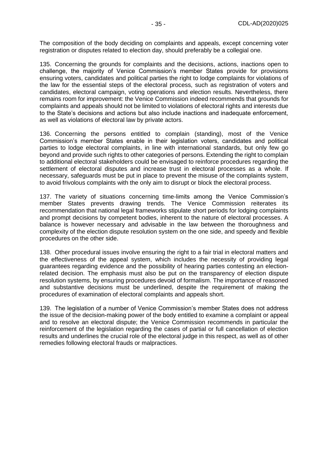The composition of the body deciding on complaints and appeals, except concerning voter registration or disputes related to election day, should preferably be a collegial one.

135. Concerning the grounds for complaints and the decisions, actions, inactions open to challenge, the majority of Venice Commission's member States provide for provisions ensuring voters, candidates and political parties the right to lodge complaints for violations of the law for the essential steps of the electoral process, such as registration of voters and candidates, electoral campaign, voting operations and election results. Nevertheless, there remains room for improvement: the Venice Commission indeed recommends that grounds for complaints and appeals should not be limited to violations of electoral rights and interests due to the State's decisions and actions but also include inactions and inadequate enforcement, as well as violations of electoral law by private actors.

136. Concerning the persons entitled to complain (standing), most of the Venice Commission's member States enable in their legislation voters, candidates and political parties to lodge electoral complaints, in line with international standards, but only few go beyond and provide such rights to other categories of persons. Extending the right to complain to additional electoral stakeholders could be envisaged to reinforce procedures regarding the settlement of electoral disputes and increase trust in electoral processes as a whole. If necessary, safeguards must be put in place to prevent the misuse of the complaints system, to avoid frivolous complaints with the only aim to disrupt or block the electoral process.

137. The variety of situations concerning time-limits among the Venice Commission's member States prevents drawing trends. The Venice Commission reiterates its recommendation that national legal frameworks stipulate short periods for lodging complaints and prompt decisions by competent bodies, inherent to the nature of electoral processes. A balance is however necessary and advisable in the law between the thoroughness and complexity of the election dispute resolution system on the one side, and speedy and flexible procedures on the other side.

138. Other procedural issues involve ensuring the right to a fair trial in electoral matters and the effectiveness of the appeal system, which includes the necessity of providing legal guarantees regarding evidence and the possibility of hearing parties contesting an electionrelated decision. The emphasis must also be put on the transparency of election dispute resolution systems, by ensuring procedures devoid of formalism. The importance of reasoned and substantive decisions must be underlined, despite the requirement of making the procedures of examination of electoral complaints and appeals short.

139. The legislation of a number of Venice Commission's member States does not address the issue of the decision-making power of the body entitled to examine a complaint or appeal and to resolve an electoral dispute; the Venice Commission recommends in particular the reinforcement of the legislation regarding the cases of partial or full cancellation of election results and underlines the crucial role of the electoral judge in this respect, as well as of other remedies following electoral frauds or malpractices.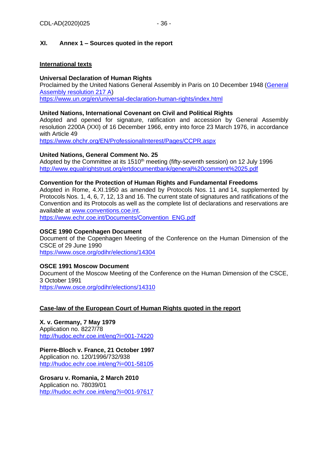# <span id="page-35-0"></span>**XI. Annex 1 – Sources quoted in the report**

### **International texts**

### **Universal Declaration of Human Rights**

Proclaimed by the United Nations General Assembly in Paris on 10 December 1948 [\(General](http://www.un.org/en/ga/search/view_doc.asp?symbol=A/RES/217(III))  [Assembly resolution 217 A\)](http://www.un.org/en/ga/search/view_doc.asp?symbol=A/RES/217(III)) <https://www.un.org/en/universal-declaration-human-rights/index.html>

# **United Nations, International Covenant on Civil and Political Rights**

Adopted and opened for signature, ratification and accession by General Assembly resolution 2200A (XXI) of 16 December 1966, entry into force 23 March 1976, in accordance with Article 49

<https://www.ohchr.org/EN/ProfessionalInterest/Pages/CCPR.aspx>

## **United Nations, General Comment No. 25**

Adopted by the Committee at its 1510<sup>th</sup> meeting (fifty-seventh session) on 12 July 1996 <http://www.equalrightstrust.org/ertdocumentbank/general%20comment%2025.pdf>

## **Convention for the Protection of Human Rights and Fundamental Freedoms**

Adopted in Rome, 4.XI.1950 as amended by Protocols Nos. 11 and 14, supplemented by Protocols Nos. 1, 4, 6, 7, 12, 13 and 16. The current state of signatures and ratifications of the Convention and its Protocols as well as the complete list of declarations and reservations are available at [www.conventions.coe.int.](http://www.conventions.coe.int/)

[https://www.echr.coe.int/Documents/Convention\\_ENG.pdf](https://www.echr.coe.int/Documents/Convention_ENG.pdf)

#### **OSCE 1990 Copenhagen Document**

Document of the Copenhagen Meeting of the Conference on the Human Dimension of the CSCE of 29 June 1990

<https://www.osce.org/odihr/elections/14304>

## **OSCE 1991 Moscow Document**

Document of the Moscow Meeting of the Conference on the Human Dimension of the CSCE, 3 October 1991 <https://www.osce.org/odihr/elections/14310>

## **Case-law of the European Court of Human Rights quoted in the report**

**X. v. Germany, 7 May 1979** Application no. 8227/78 <http://hudoc.echr.coe.int/eng?i=001-74220>

**Pierre-Bloch v. France, 21 October 1997** Application no. 120/1996/732/938 <http://hudoc.echr.coe.int/eng?i=001-58105>

**Grosaru v. Romania, 2 March 2010** Application no. 78039/01 <http://hudoc.echr.coe.int/eng?i=001-97617>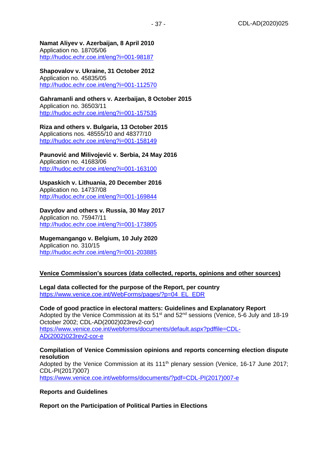**Namat Aliyev v. Azerbaijan, 8 April 2010** Application no. [18705/06](https://hudoc.echr.coe.int/eng#{%22appno%22:[%2218705/06%22]}) <http://hudoc.echr.coe.int/eng?i=001-98187>

**Shapovalov v. Ukraine, 31 October 2012** Application no. 45835/05 <http://hudoc.echr.coe.int/eng?i=001-112570>

**Gahramanli and others v. Azerbaijan, 8 October 2015** Application no. 36503/11 <http://hudoc.echr.coe.int/eng?i=001-157535>

**Riza and others v. Bulgaria, 13 October 2015** Applications nos. [48555/10](https://hudoc.echr.coe.int/eng#{%22appno%22:[%2248555/10%22]}) and [48377/10](https://hudoc.echr.coe.int/eng#{%22appno%22:[%2248377/10%22]}) [http://hudoc.echr.coe.int/eng?i=001-158149](http://hudoc.echr.coe.int/eng?i=001-157535)

**Paunović and Milivojević v. Serbia, 24 May 2016** Application no. 41683/06 <http://hudoc.echr.coe.int/eng?i=001-163100>

**Uspaskich v. Lithuania, 20 December 2016** Application no. 14737/08 <http://hudoc.echr.coe.int/eng?i=001-169844>

**Davydov and others v. Russia, 30 May 2017** Application no. 75947/11 [http://hudoc.echr.coe.int/eng?i=001-173805](http://hudoc.echr.coe.int/eng?i=001-169844)

**Mugemangango v. Belgium, 10 July 2020** Application no. 310/15

<http://hudoc.echr.coe.int/eng?i=001-203885>

#### **Venice Commission's sources (data collected, reports, opinions and other sources)**

**Legal data collected for the purpose of the Report, per country**

[https://www.venice.coe.int/WebForms/pages/?p=04\\_EL\\_EDR](https://www.venice.coe.int/WebForms/pages/?p=04_EL_EDR)

**Code of good practice in electoral matters: Guidelines and Explanatory Report** Adopted by the Venice Commission at its  $51<sup>st</sup>$  and  $52<sup>nd</sup>$  sessions (Venice,  $5-6$  July and 18-19 October 2002; CDL-AD(2002)023rev2-cor) [https://www.venice.coe.int/webforms/documents/default.aspx?pdffile=CDL-](https://www.venice.coe.int/webforms/documents/default.aspx?pdffile=CDL-AD(2002)023rev2-cor-e)[AD\(2002\)023rev2-cor-e](https://www.venice.coe.int/webforms/documents/default.aspx?pdffile=CDL-AD(2002)023rev2-cor-e)

**Compilation of Venice Commission opinions and reports concerning election dispute resolution** Adopted by the Venice Commission at its 111<sup>th</sup> plenary session (Venice, 16-17 June 2017; CDL-PI(2017)007) [https://www.venice.coe.int/webforms/documents/?pdf=CDL-PI\(2017\)007-e](https://www.venice.coe.int/webforms/documents/?pdf=CDL-PI(2017)007-e)

#### **Reports and Guidelines**

**Report on the Participation of Political Parties in Elections**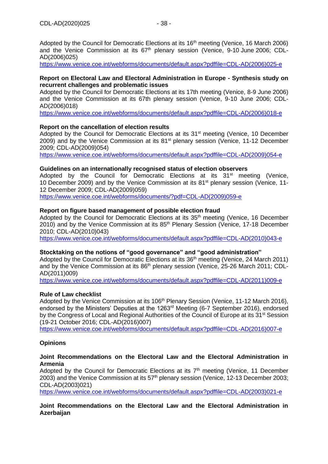Adopted by the Council for Democratic Elections at its  $16<sup>th</sup>$  meeting (Venice, 16 March 2006) and the Venice Commission at its 67<sup>th</sup> plenary session (Venice, 9-10 June 2006; CDL-AD(2006)025)

[https://www.venice.coe.int/webforms/documents/default.aspx?pdffile=CDL-AD\(2006\)025-e](https://www.venice.coe.int/webforms/documents/default.aspx?pdffile=CDL-AD(2006)025-e)

### **Report on Electoral Law and Electoral Administration in Europe - Synthesis study on recurrent challenges and problematic issues**

Adopted by the Council for Democratic Elections at its 17th meeting (Venice, 8-9 June 2006) and the Venice Commission at its 67th plenary session (Venice, 9-10 June 2006; CDL-AD(2006)018)

[https://www.venice.coe.int/webforms/documents/default.aspx?pdffile=CDL-AD\(2006\)018-e](https://www.venice.coe.int/webforms/documents/default.aspx?pdffile=CDL-AD(2006)018-e)

## **Report on the cancellation of election results**

Adopted by the Council for Democratic Elections at its 31<sup>st</sup> meeting (Venice, 10 December 2009) and by the Venice Commission at its  $81<sup>st</sup>$  plenary session (Venice, 11-12 December 2009; CDL-AD(2009)054)

[https://www.venice.coe.int/webforms/documents/default.aspx?pdffile=CDL-AD\(2009\)054-e](https://www.venice.coe.int/webforms/documents/default.aspx?pdffile=CDL-AD(2009)054-e)

#### **Guidelines on an internationally recognised status of election observers**

Adopted by the Council for Democratic Elections at its 31<sup>st</sup> meeting (Venice, 10 December 2009) and by the Venice Commission at its  $81<sup>st</sup>$  plenary session (Venice, 11-12 December 2009; CDL-AD(2009)059)

[https://www.venice.coe.int/webforms/documents/?pdf=CDL-AD\(2009\)059-e](https://www.venice.coe.int/webforms/documents/?pdf=CDL-AD(2009)059-e)

#### **Report on figure based management of possible election fraud**

Adopted by the Council for Democratic Elections at its 35<sup>th</sup> meeting (Venice, 16 December 2010) and by the Venice Commission at its 85<sup>th</sup> Plenary Session (Venice, 17-18 December 2010; CDL-AD(2010)043)

[https://www.venice.coe.int/webforms/documents/default.aspx?pdffile=CDL-AD\(2010\)043-e](https://www.venice.coe.int/webforms/documents/default.aspx?pdffile=CDL-AD(2010)043-e)

## **Stocktaking on the notions of "good governance" and "good administration"**

Adopted by the Council for Democratic Elections at its 36<sup>th</sup> meeting (Venice, 24 March 2011) and by the Venice Commission at its 86<sup>th</sup> plenary session (Venice, 25-26 March 2011; CDL-AD(2011)009)

[https://www.venice.coe.int/webforms/documents/default.aspx?pdffile=CDL-AD\(2011\)009-e](https://www.venice.coe.int/webforms/documents/default.aspx?pdffile=CDL-AD(2011)009-e)

## **Rule of Law checklist**

Adopted by the Venice Commission at its 106<sup>th</sup> Plenary Session (Venice, 11-12 March 2016), endorsed by the Ministers' Deputies at the 1263rd Meeting (6-7 September 2016), endorsed by the Congress of Local and Regional Authorities of the Council of Europe at its 31<sup>st</sup> Session (19-21 October 2016; CDL-AD(2016)007)

[https://www.venice.coe.int/webforms/documents/default.aspx?pdffile=CDL-AD\(2016\)007-e](https://www.venice.coe.int/webforms/documents/default.aspx?pdffile=CDL-AD(2016)007-e)

## **Opinions**

#### **Joint Recommendations on the Electoral Law and the Electoral Administration in Armenia**

Adopted by the Council for Democratic Elections at its  $7<sup>th</sup>$  meeting (Venice, 11 December 2003) and the Venice Commission at its  $57<sup>th</sup>$  plenary session (Venice, 12-13 December 2003; CDL-AD(2003)021)

[https://www.venice.coe.int/webforms/documents/default.aspx?pdffile=CDL-AD\(2003\)021-e](https://www.venice.coe.int/webforms/documents/default.aspx?pdffile=CDL-AD(2003)021-e)

## **Joint Recommendations on the Electoral Law and the Electoral Administration in Azerbaijan**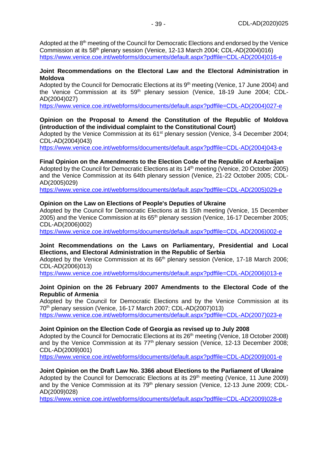Adopted at the  $8<sup>th</sup>$  meeting of the Council for Democratic Elections and endorsed by the Venice Commission at its 58th plenary session (Venice, 12-13 March 2004; CDL-AD(2004)016) [https://www.venice.coe.int/webforms/documents/default.aspx?pdffile=CDL-AD\(2004\)016-e](https://www.venice.coe.int/webforms/documents/default.aspx?pdffile=CDL-AD(2004)016-e)

#### **Joint Recommendations on the Electoral Law and the Electoral Administration in Moldova**

Adopted by the Council for Democratic Elections at its 9<sup>th</sup> meeting (Venice, 17 June 2004) and the Venice Commission at its 59<sup>th</sup> plenary session (Venice, 18-19 June 2004; CDL-AD(2004)027)

[https://www.venice.coe.int/webforms/documents/default.aspx?pdffile=CDL-AD\(2004\)027-e](https://www.venice.coe.int/webforms/documents/default.aspx?pdffile=CDL-AD(2004)027-e)

#### **Opinion on the Proposal to Amend the Constitution of the Republic of Moldova (introduction of the individual complaint to the Constitutional Court)**

Adopted by the Venice Commission at its 61<sup>st</sup> plenary session (Venice, 3-4 December 2004; CDL-AD(2004)043)

[https://www.venice.coe.int/webforms/documents/default.aspx?pdffile=CDL-AD\(2004\)043-e](https://www.venice.coe.int/webforms/documents/default.aspx?pdffile=CDL-AD(2004)043-e)

#### **Final Opinion on the Amendments to the Election Code of the Republic of Azerbaijan**

Adopted by the Council for Democratic Elections at its  $14<sup>th</sup>$  meeting (Venice, 20 October 2005) and the Venice Commission at its 64th plenary session (Venice, 21-22 October 2005; CDL-AD(2005)029)

[https://www.venice.coe.int/webforms/documents/default.aspx?pdffile=CDL-AD\(2005\)029-e](https://www.venice.coe.int/webforms/documents/default.aspx?pdffile=CDL-AD(2005)029-e)

#### **Opinion on the Law on Elections of People's Deputies of Ukraine**

Adopted by the Council for Democratic Elections at its 15th meeting (Venice, 15 December 2005) and the Venice Commission at its 65<sup>th</sup> plenary session (Venice, 16-17 December 2005; CDL-AD(2006)002)

[https://www.venice.coe.int/webforms/documents/default.aspx?pdffile=CDL-AD\(2006\)002-e](https://www.venice.coe.int/webforms/documents/default.aspx?pdffile=CDL-AD(2006)002-e)

#### **Joint Recommendations on the Laws on Parliamentary, Presidential and Local Elections, and Electoral Administration in the Republic of Serbia**

Adopted by the Venice Commission at its  $66<sup>th</sup>$  plenary session (Venice, 17-18 March 2006; CDL-AD(2006)013)

[https://www.venice.coe.int/webforms/documents/default.aspx?pdffile=CDL-AD\(2006\)013-e](https://www.venice.coe.int/webforms/documents/default.aspx?pdffile=CDL-AD(2006)013-e)

#### **Joint Opinion on the 26 February 2007 Amendments to the Electoral Code of the Republic of Armenia**

Adopted by the Council for Democratic Elections and by the Venice Commission at its 70th plenary session (Venice, 16-17 March 2007; CDL-AD(2007)013) [https://www.venice.coe.int/webforms/documents/default.aspx?pdffile=CDL-AD\(2007\)023-e](https://www.venice.coe.int/webforms/documents/default.aspx?pdffile=CDL-AD(2007)023-e)

#### **Joint Opinion on the Election Code of Georgia as revised up to July 2008**

Adopted by the Council for Democratic Elections at its 26<sup>th</sup> meeting (Venice, 18 October 2008) and by the Venice Commission at its 77<sup>th</sup> plenary session (Venice, 12-13 December 2008; CDL-AD(2009)001)

[https://www.venice.coe.int/webforms/documents/default.aspx?pdffile=CDL-AD\(2009\)001-e](https://www.venice.coe.int/webforms/documents/default.aspx?pdffile=CDL-AD(2009)001-e)

#### **Joint Opinion on the Draft Law No. 3366 about Elections to the Parliament of Ukraine**

Adopted by the Council for Democratic Elections at its  $29<sup>th</sup>$  meeting (Venice, 11 June 2009) and by the Venice Commission at its 79<sup>th</sup> plenary session (Venice, 12-13 June 2009; CDL-AD(2009)028)

[https://www.venice.coe.int/webforms/documents/default.aspx?pdffile=CDL-AD\(2009\)028-e](https://www.venice.coe.int/webforms/documents/default.aspx?pdffile=CDL-AD(2009)028-e)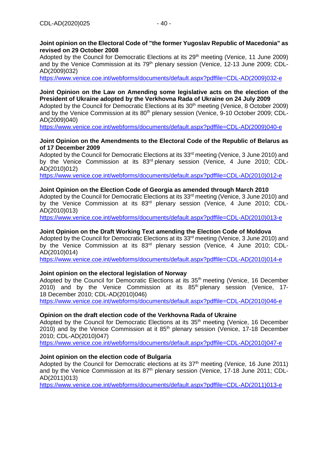### **Joint opinion on the Electoral Code of "the former Yugoslav Republic of Macedonia" as revised on 29 October 2008**

Adopted by the Council for Democratic Elections at its 29<sup>th</sup> meeting (Venice, 11 June 2009) and by the Venice Commission at its 79<sup>th</sup> plenary session (Venice, 12-13 June 2009; CDL-AD(2009)032)

[https://www.venice.coe.int/webforms/documents/default.aspx?pdffile=CDL-AD\(2009\)032-e](https://www.venice.coe.int/webforms/documents/default.aspx?pdffile=CDL-AD(2009)032-e)

## **Joint Opinion on the Law on Amending some legislative acts on the election of the President of Ukraine adopted by the Verkhovna Rada of Ukraine on 24 July 2009**

Adopted by the Council for Democratic Elections at its 30<sup>th</sup> meeting (Venice, 8 October 2009) and by the Venice Commission at its 80<sup>th</sup> plenary session (Venice, 9-10 October 2009; CDL-AD(2009)040)

[https://www.venice.coe.int/webforms/documents/default.aspx?pdffile=CDL-AD\(2009\)040-e](https://www.venice.coe.int/webforms/documents/default.aspx?pdffile=CDL-AD(2009)040-e)

## **Joint Opinion on the Amendments to the Electoral Code of the Republic of Belarus as of 17 December 2009**

Adopted by the Council for Democratic Elections at its 33<sup>rd</sup> meeting (Venice, 3 June 2010) and by the Venice Commission at its 83rd plenary session (Venice, 4 June 2010; CDL-AD(2010)012)

[https://www.venice.coe.int/webforms/documents/default.aspx?pdffile=CDL-AD\(2010\)012-e](https://www.venice.coe.int/webforms/documents/default.aspx?pdffile=CDL-AD(2010)012-e)

## **Joint Opinion on the Election Code of Georgia as amended through March 2010**

Adopted by the Council for Democratic Elections at its  $33<sup>rd</sup>$  meeting (Venice, 3 June 2010) and by the Venice Commission at its 83<sup>rd</sup> plenary session (Venice, 4 June 2010; CDL-AD(2010)013)

[https://www.venice.coe.int/webforms/documents/default.aspx?pdffile=CDL-AD\(2010\)013-e](https://www.venice.coe.int/webforms/documents/default.aspx?pdffile=CDL-AD(2010)013-e)

#### **Joint Opinion on the Draft Working Text amending the Election Code of Moldova**

Adopted by the Council for Democratic Elections at its  $33<sup>rd</sup>$  meeting (Venice, 3 June 2010) and by the Venice Commission at its 83<sup>rd</sup> plenary session (Venice, 4 June 2010; CDL-AD(2010)014)

[https://www.venice.coe.int/webforms/documents/default.aspx?pdffile=CDL-AD\(2010\)014-e](https://www.venice.coe.int/webforms/documents/default.aspx?pdffile=CDL-AD(2010)014-e)

## **Joint opinion on the electoral legislation of Norway**

Adopted by the Council for Democratic Elections at its 35<sup>th</sup> meeting (Venice, 16 December 2010) and by the Venice Commission at its  $85<sup>th</sup>$  plenary session (Venice, 17-18 December 2010; CDL-AD(2010)046)

[https://www.venice.coe.int/webforms/documents/default.aspx?pdffile=CDL-AD\(2010\)046-e](https://www.venice.coe.int/webforms/documents/default.aspx?pdffile=CDL-AD(2010)046-e)

#### **Opinion on the draft election code of the Verkhovna Rada of Ukraine**

Adopted by the Council for Democratic Elections at its 35<sup>th</sup> meeting (Venice, 16 December 2010) and by the Venice Commission at it 85<sup>th</sup> plenary session (Venice, 17-18 December 2010; CDL-AD(2010)047)

[https://www.venice.coe.int/webforms/documents/default.aspx?pdffile=CDL-AD\(2010\)047-e](https://www.venice.coe.int/webforms/documents/default.aspx?pdffile=CDL-AD(2010)047-e)

#### **Joint opinion on the election code of Bulgaria**

Adopted by the Council for Democratic elections at its  $37<sup>th</sup>$  meeting (Venice, 16 June 2011) and by the Venice Commission at its 87<sup>th</sup> plenary session (Venice, 17-18 June 2011; CDL-AD(2011)013)

[https://www.venice.coe.int/webforms/documents/default.aspx?pdffile=CDL-AD\(2011\)013-e](https://www.venice.coe.int/webforms/documents/default.aspx?pdffile=CDL-AD(2011)013-e)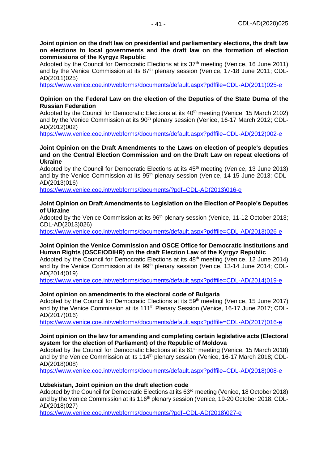**Joint opinion on the draft law on presidential and parliamentary elections, the draft law on elections to local governments and the draft law on the formation of election commissions of the Kyrgyz Republic**

Adopted by the Council for Democratic Elections at its 37<sup>th</sup> meeting (Venice, 16 June 2011) and by the Venice Commission at its 87<sup>th</sup> plenary session (Venice, 17-18 June 2011; CDL-AD(2011)025)

[https://www.venice.coe.int/webforms/documents/default.aspx?pdffile=CDL-AD\(2011\)025-e](https://www.venice.coe.int/webforms/documents/default.aspx?pdffile=CDL-AD(2011)025-e)

#### **Opinion on the Federal Law on the election of the Deputies of the State Duma of the Russian Federation**

Adopted by the Council for Democratic Elections at its  $40<sup>th</sup>$  meeting (Venice, 15 March 2102) and by the Venice Commission at its 90<sup>th</sup> plenary session (Venice, 16-17 March 2012; CDL-AD(2012)002)

[https://www.venice.coe.int/webforms/documents/default.aspx?pdffile=CDL-AD\(2012\)002-e](https://www.venice.coe.int/webforms/documents/default.aspx?pdffile=CDL-AD(2012)002-e)

#### **Joint Opinion on the Draft Amendments to the Laws on election of people's deputies and on the Central Election Commission and on the Draft Law on repeat elections of Ukraine**

Adopted by the Council for Democratic Elections at its 45<sup>th</sup> meeting (Venice, 13 June 2013) and by the Venice Commission at its 95<sup>th</sup> plenary session (Venice, 14-15 June 2013; CDL-AD(2013)016)

[https://www.venice.coe.int/webforms/documents/?pdf=CDL-AD\(2013\)016-e](https://www.venice.coe.int/webforms/documents/?pdf=CDL-AD(2013)016-e)

#### **Joint Opinion on Draft Amendments to Legislation on the Election of People's Deputies of Ukraine**

Adopted by the Venice Commission at its 96<sup>th</sup> plenary session (Venice, 11-12 October 2013; CDL-AD(2013)026)

[https://www.venice.coe.int/webforms/documents/default.aspx?pdffile=CDL-AD\(2013\)026-e](https://www.venice.coe.int/webforms/documents/default.aspx?pdffile=CDL-AD(2013)026-e)

#### **Joint Opinion the Venice Commission and OSCE Office for Democratic Institutions and Human Rights (OSCE/ODIHR) on the draft Election Law of the Kyrgyz Republic**

Adopted by the Council for Democratic Elections at its 48<sup>th</sup> meeting (Venice, 12 June 2014) and by the Venice Commission at its 99<sup>th</sup> plenary session (Venice, 13-14 June 2014; CDL-AD(2014)019)

[https://www.venice.coe.int/webforms/documents/default.aspx?pdffile=CDL-AD\(2014\)019-e](https://www.venice.coe.int/webforms/documents/default.aspx?pdffile=CDL-AD(2014)019-e)

#### **Joint opinion on amendments to the electoral code of Bulgaria**

Adopted by the Council for Democratic Elections at its 59<sup>th</sup> meeting (Venice, 15 June 2017) and by the Venice Commission at its 111<sup>th</sup> Plenary Session (Venice, 16-17 June 2017; CDL-AD(2017)016)

[https://www.venice.coe.int/webforms/documents/default.aspx?pdffile=CDL-AD\(2017\)016-e](https://www.venice.coe.int/webforms/documents/default.aspx?pdffile=CDL-AD(2017)016-e)

#### **Joint opinion on the law for amending and completing certain legislative acts (Electoral system for the election of Parliament) of the Republic of Moldova**

Adopted by the Council for Democratic Elections at its 61<sup>st</sup> meeting (Venice, 15 March 2018) and by the Venice Commission at its 114<sup>th</sup> plenary session (Venice, 16-17 March 2018; CDL-AD(2018)008)

[https://www.venice.coe.int/webforms/documents/default.aspx?pdffile=CDL-AD\(2018\)008-e](https://www.venice.coe.int/webforms/documents/default.aspx?pdffile=CDL-AD(2018)008-e)

#### **Uzbekistan, Joint opinion on the draft election code**

Adopted by the Council for Democratic Elections at its 63<sup>rd</sup> meeting (Venice, 18 October 2018) and by the Venice Commission at its 116<sup>th</sup> plenary session (Venice, 19-20 October 2018; CDL-AD(2018)027)

[https://www.venice.coe.int/webforms/documents/?pdf=CDL-AD\(2018\)027-e](https://www.venice.coe.int/webforms/documents/?pdf=CDL-AD(2018)027-e)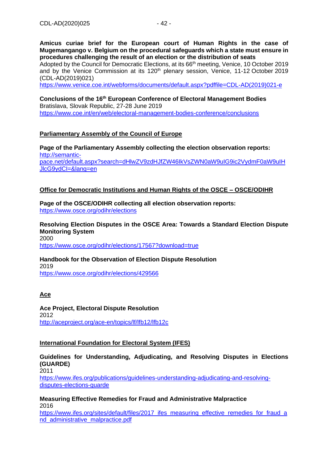**Amicus curiae brief for the European court of Human Rights in the case of Mugemangango v. Belgium on the procedural safeguards which a state must ensure in procedures challenging the result of an election or the distribution of seats**

Adopted by the Council for Democratic Elections, at its 66<sup>th</sup> meeting, Venice, 10 October 2019 and by the Venice Commission at its 120<sup>th</sup> plenary session, Venice, 11-12 October 2019 (CDL-AD(2019)021)

[https://www.venice.coe.int/webforms/documents/default.aspx?pdffile=CDL-AD\(2019\)021-e](https://www.venice.coe.int/webforms/documents/default.aspx?pdffile=CDL-AD(2019)021-e)

**Conclusions of the 16th European Conference of Electoral Management Bodies** Bratislava, Slovak Republic, 27-28 June 2019 <https://www.coe.int/en/web/electoral-management-bodies-conference/conclusions>

# **Parliamentary Assembly of the Council of Europe**

**Page of the Parliamentary Assembly collecting the election observation reports:** [http://semantic](http://semantic-pace.net/default.aspx?search=dHlwZV9zdHJfZW46IkVsZWN0aW9uIG9ic2VydmF0aW9uIHJlcG9ydCI=&lang=en)[pace.net/default.aspx?search=dHlwZV9zdHJfZW46IkVsZWN0aW9uIG9ic2VydmF0aW9uIH](http://semantic-pace.net/default.aspx?search=dHlwZV9zdHJfZW46IkVsZWN0aW9uIG9ic2VydmF0aW9uIHJlcG9ydCI=&lang=en) [JlcG9ydCI=&lang=en](http://semantic-pace.net/default.aspx?search=dHlwZV9zdHJfZW46IkVsZWN0aW9uIG9ic2VydmF0aW9uIHJlcG9ydCI=&lang=en)

## **Office for Democratic Institutions and Human Rights of the OSCE – OSCE/ODIHR**

**Page of the OSCE/ODIHR collecting all election observation reports:** <https://www.osce.org/odihr/elections>

**Resolving Election Disputes in the OSCE Area: Towards a Standard Election Dispute Monitoring System** 2000 <https://www.osce.org/odihr/elections/17567?download=true>

**Handbook for the Observation of Election Dispute Resolution** 2019 <https://www.osce.org/odihr/elections/429566>

**Ace**

**Ace Project, Electoral Dispute Resolution** 2012 <http://aceproject.org/ace-en/topics/lf/lfb12/lfb12c>

## **International Foundation for Electoral System (IFES)**

**Guidelines for Understanding, Adjudicating, and Resolving Disputes in Elections (GUARDE)** 2011

[https://www.ifes.org/publications/guidelines-understanding-adjudicating-and-resolving](https://www.ifes.org/publications/guidelines-understanding-adjudicating-and-resolving-disputes-elections-guarde)disputes-elections-quarde

**Measuring Effective Remedies for Fraud and Administrative Malpractice** 2016 [https://www.ifes.org/sites/default/files/2017\\_ifes\\_measuring\\_effective\\_remedies\\_for\\_fraud\\_a](https://www.ifes.org/sites/default/files/2017_ifes_measuring_effective_remedies_for_fraud_and_administrative_malpractice.pdf)

[nd\\_administrative\\_malpractice.pdf](https://www.ifes.org/sites/default/files/2017_ifes_measuring_effective_remedies_for_fraud_and_administrative_malpractice.pdf)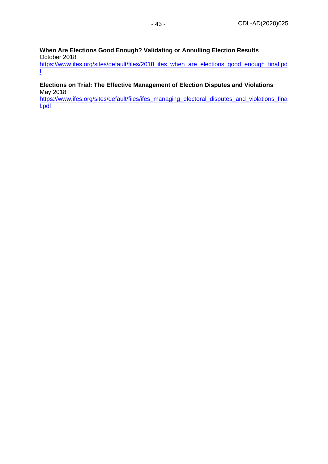#### **When Are Elections Good Enough? Validating or Annulling Election Results** October 2018

https://www.ifes.org/sites/default/files/2018 ifes when are elections good enough final.pd [f](https://www.ifes.org/sites/default/files/2018_ifes_when_are_elections_good_enough_final.pdf)

#### **Elections on Trial: The Effective Management of Election Disputes and Violations** May 2018

[https://www.ifes.org/sites/default/files/ifes\\_managing\\_electoral\\_disputes\\_and\\_violations\\_fina](https://www.ifes.org/sites/default/files/ifes_managing_electoral_disputes_and_violations_final.pdf) [l.pdf](https://www.ifes.org/sites/default/files/ifes_managing_electoral_disputes_and_violations_final.pdf)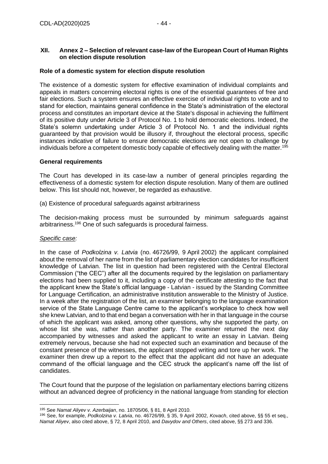# <span id="page-43-0"></span>**XII. Annex 2 – Selection of relevant case-law of the European Court of Human Rights on election dispute resolution**

### **Role of a domestic system for election dispute resolution**

The existence of a domestic system for effective examination of individual complaints and appeals in matters concerning electoral rights is one of the essential guarantees of free and fair elections. Such a system ensures an effective exercise of individual rights to vote and to stand for election, maintains general confidence in the State's administration of the electoral process and constitutes an important device at the State's disposal in achieving the fulfilment of its positive duty under Article 3 of Protocol No. 1 to hold democratic elections. Indeed, the State's solemn undertaking under Article 3 of Protocol No. 1 and the individual rights guaranteed by that provision would be illusory if, throughout the electoral process, specific instances indicative of failure to ensure democratic elections are not open to challenge by individuals before a competent domestic body capable of effectively dealing with the matter.<sup>195</sup>

#### **General requirements**

The Court has developed in its case-law a number of general principles regarding the effectiveness of a domestic system for election dispute resolution. Many of them are outlined below. This list should not, however, be regarded as exhaustive.

(a) Existence of procedural safeguards against arbitrariness

The decision-making process must be surrounded by minimum safeguards against arbitrariness.<sup>196</sup> One of such safeguards is procedural fairness.

#### *Specific case:*

In the case of *Podkolzina v. Latvia* (no. 46726/99, 9 April 2002) the applicant complained about the removal of her name from the list of parliamentary election candidates for insufficient knowledge of Latvian. The list in question had been registered with the Central Electoral Commission ("the CEC") after all the documents required by the legislation on parliamentary elections had been supplied to it, including a copy of the certificate attesting to the fact that the applicant knew the State's official language - Latvian - issued by the Standing Committee for Language Certification, an administrative institution answerable to the Ministry of Justice. In a week after the registration of the list, an examiner belonging to the language examination service of the State Language Centre came to the applicant's workplace to check how well she knew Latvian, and to that end began a conversation with her in that language in the course of which the applicant was asked, among other questions, why she supported the party, on whose list she was, rather than another party. The examiner returned the next day accompanied by witnesses and asked the applicant to write an essay in Latvian. Being extremely nervous, because she had not expected such an examination and because of the constant presence of the witnesses, the applicant stopped writing and tore up her work. The examiner then drew up a report to the effect that the applicant did not have an adequate command of the official language and the CEC struck the applicant's name off the list of candidates.

The Court found that the purpose of the legislation on parliamentary elections barring citizens without an advanced degree of proficiency in the national language from standing for election

<sup>196</sup> See, for example, *Podkolzina v. Latvia*, no. 46726/99, § 35, 9 April 2002, *Kovach*, cited above, §§ 55 et seq., *Namat Aliyev*, also cited above, § 72, 8 April 2010, and *Davydov and Others*, cited above, §§ 273 and 336.

<sup>195</sup> See *Namat Aliyev v. Azerbaijan*, no. 18705/06, § 81, 8 April 2010.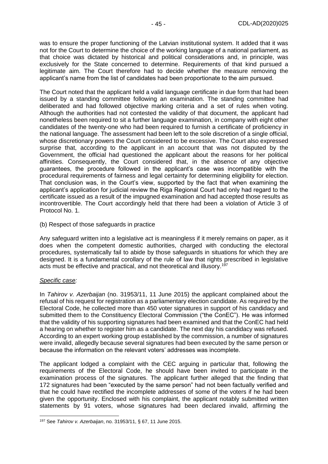was to ensure the proper functioning of the Latvian institutional system. It added that it was not for the Court to determine the choice of the working language of a national parliament, as that choice was dictated by historical and political considerations and, in principle, was exclusively for the State concerned to determine. Requirements of that kind pursued a legitimate aim. The Court therefore had to decide whether the measure removing the applicant's name from the list of candidates had been proportionate to the aim pursued.

The Court noted that the applicant held a valid language certificate in due form that had been issued by a standing committee following an examination. The standing committee had deliberated and had followed objective marking criteria and a set of rules when voting. Although the authorities had not contested the validity of that document, the applicant had nonetheless been required to sit a further language examination, in company with eight other candidates of the twenty-one who had been required to furnish a certificate of proficiency in the national language. The assessment had been left to the sole discretion of a single official, whose discretionary powers the Court considered to be excessive. The Court also expressed surprise that, according to the applicant in an account that was not disputed by the Government, the official had questioned the applicant about the reasons for her political affinities. Consequently, the Court considered that, in the absence of any objective guarantees, the procedure followed in the applicant's case was incompatible with the procedural requirements of fairness and legal certainty for determining eligibility for election. That conclusion was, in the Court's view, supported by the fact that when examining the applicant's application for judicial review the Riga Regional Court had only had regard to the certificate issued as a result of the impugned examination and had accepted those results as incontrovertible. The Court accordingly held that there had been a violation of Article 3 of Protocol No. 1.

(b) Respect of those safeguards in practice

Any safeguard written into a legislative act is meaningless if it merely remains on paper, as it does when the competent domestic authorities, charged with conducting the electoral procedures, systematically fail to abide by those safeguards in situations for which they are designed. It is a fundamental corollary of the rule of law that rights prescribed in legislative acts must be effective and practical, and not theoretical and illusory.<sup>197</sup>

#### *Specific case:*

In *Tahirov v. Azerbaijan* (no. 31953/11, 11 June 2015) the applicant complained about the refusal of his request for registration as a parliamentary election candidate. As required by the Electoral Code, he collected more than 450 voter signatures in support of his candidacy and submitted them to the Constituency Electoral Commission ("the ConEC"). He was informed that the validity of his supporting signatures had been examined and that the ConEC had held a hearing on whether to register him as a candidate. The next day his candidacy was refused. According to an expert working group established by the commission, a number of signatures were invalid, allegedly because several signatures had been executed by the same person or because the information on the relevant voters' addresses was incomplete.

The applicant lodged a complaint with the CEC arguing in particular that, following the requirements of the Electoral Code, he should have been invited to participate in the examination process of the signatures. The applicant further alleged that the finding that 172 signatures had been "executed by the same person" had not been factually verified and that he could have rectified the incomplete addresses of some of the voters if he had been given the opportunity. Enclosed with his complaint, the applicant notably submitted written statements by 91 voters, whose signatures had been declared invalid, affirming the

<sup>197</sup> See *Tahirov v. Azerbaijan*, no. 31953/11, § 67, 11 June 2015.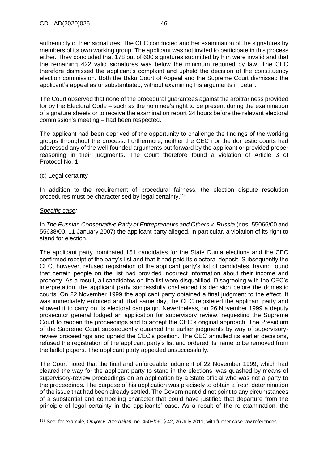authenticity of their signatures. The CEC conducted another examination of the signatures by members of its own working group. The applicant was not invited to participate in this process either. They concluded that 178 out of 600 signatures submitted by him were invalid and that the remaining 422 valid signatures was below the minimum required by law. The CEC therefore dismissed the applicant's complaint and upheld the decision of the constituency election commission. Both the Baku Court of Appeal and the Supreme Court dismissed the applicant's appeal as unsubstantiated, without examining his arguments in detail.

The Court observed that none of the procedural guarantees against the arbitrariness provided for by the Electoral Code – such as the nominee's right to be present during the examination of signature sheets or to receive the examination report 24 hours before the relevant electoral commission's meeting – had been respected.

The applicant had been deprived of the opportunity to challenge the findings of the working groups throughout the process. Furthermore, neither the CEC nor the domestic courts had addressed any of the well-founded arguments put forward by the applicant or provided proper reasoning in their judgments. The Court therefore found a violation of Article 3 of Protocol No. 1.

#### (c) Legal certainty

In addition to the requirement of procedural fairness, the election dispute resolution procedures must be characterised by legal certainty.<sup>198</sup>

#### *Specific case:*

In *The Russian Conservative Party of Entrepreneurs and Others v. Russia* (nos. 55066/00 and 55638/00, 11 January 2007) the applicant party alleged, in particular, a violation of its right to stand for election.

The applicant party nominated 151 candidates for the State Duma elections and the CEC confirmed receipt of the party's list and that it had paid its electoral deposit. Subsequently the CEC, however, refused registration of the applicant party's list of candidates, having found that certain people on the list had provided incorrect information about their income and property. As a result, all candidates on the list were disqualified. Disagreeing with the CEC's interpretation, the applicant party successfully challenged its decision before the domestic courts. On 22 November 1999 the applicant party obtained a final judgment to the effect. It was immediately enforced and, that same day, the CEC registered the applicant party and allowed it to carry on its electoral campaign. Nevertheless, on 26 November 1999 a deputy prosecutor general lodged an application for supervisory review, requesting the Supreme Court to reopen the proceedings and to accept the CEC's original approach. The Presidium of the Supreme Court subsequently quashed the earlier judgments by way of supervisoryreview proceedings and upheld the CEC's position. The CEC annulled its earlier decisions, refused the registration of the applicant party's list and ordered its name to be removed from the ballot papers. The applicant party appealed unsuccessfully.

The Court noted that the final and enforceable judgment of 22 November 1999, which had cleared the way for the applicant party to stand in the elections, was quashed by means of supervisory-review proceedings on an application by a State official who was not a party to the proceedings. The purpose of his application was precisely to obtain a fresh determination of the issue that had been already settled. The Government did not point to any circumstances of a substantial and compelling character that could have justified that departure from the principle of legal certainty in the applicants' case. As a result of the re-examination, the

<sup>198</sup> See, for example, *Orujov v. Azerbaijan*, no. 4508/06, § 42, 26 July 2011, with further case-law references.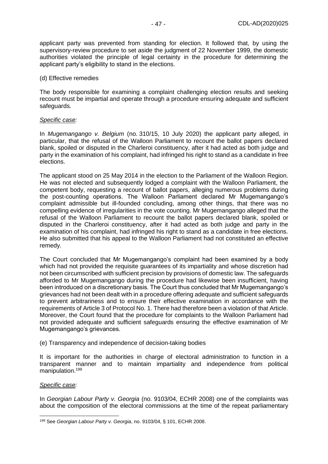applicant party was prevented from standing for election. It followed that, by using the supervisory-review procedure to set aside the judgment of 22 November 1999, the domestic authorities violated the principle of legal certainty in the procedure for determining the applicant party's eligibility to stand in the elections.

#### (d) Effective remedies

The body responsible for examining a complaint challenging election results and seeking recount must be impartial and operate through a procedure ensuring adequate and sufficient safeguards.

#### *Specific case:*

In *Mugemangango v. Belgium* (no. 310/15, 10 July 2020) the applicant party alleged, in particular, that the refusal of the Walloon Parliament to recount the ballot papers declared blank, spoiled or disputed in the Charleroi constituency, after it had acted as both judge and party in the examination of his complaint, had infringed his right to stand as a candidate in free elections.

The applicant stood on 25 May 2014 in the election to the Parliament of the Walloon Region. He was not elected and subsequently lodged a complaint with the Walloon Parliament, the competent body, requesting a recount of ballot papers, alleging numerous problems during the post-counting operations. The Walloon Parliament declared Mr Mugemangango's complaint admissible but ill-founded concluding, among other things, that there was no compelling evidence of irregularities in the vote counting. Mr Mugemangango alleged that the refusal of the Walloon Parliament to recount the ballot papers declared blank, spoiled or disputed in the Charleroi constituency, after it had acted as both judge and party in the examination of his complaint, had infringed his right to stand as a candidate in free elections. He also submitted that his appeal to the Walloon Parliament had not constituted an effective remedy.

The Court concluded that Mr Mugemangango's complaint had been examined by a body which had not provided the requisite guarantees of its impartiality and whose discretion had not been circumscribed with sufficient precision by provisions of domestic law. The safeguards afforded to Mr Mugemangango during the procedure had likewise been insufficient, having been introduced on a discretionary basis. The Court thus concluded that Mr Mugemangango's grievances had not been dealt with in a procedure offering adequate and sufficient safeguards to prevent arbitrariness and to ensure their effective examination in accordance with the requirements of Article 3 of Protocol No. 1. There had therefore been a violation of that Article. Moreover, the Court found that the procedure for complaints to the Walloon Parliament had not provided adequate and sufficient safeguards ensuring the effective examination of Mr Mugemangango's grievances.

#### (e) Transparency and independence of decision-taking bodies

It is important for the authorities in charge of electoral administration to function in a transparent manner and to maintain impartiality and independence from political manipulation.<sup>199</sup>

#### *Specific case:*

In *Georgian Labour Party v. Georgia* (no. 9103/04, ECHR 2008) one of the complaints was about the composition of the electoral commissions at the time of the repeat parliamentary

<sup>199</sup> See *Georgian Labour Party v. Georgia*, no. 9103/04, § 101, ECHR 2008.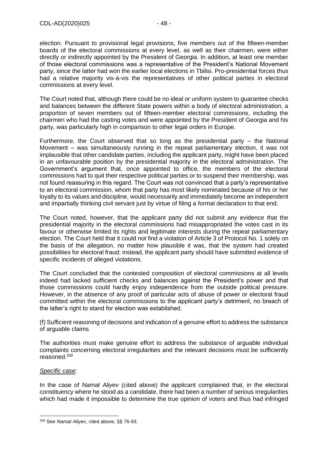election. Pursuant to provisional legal provisions, five members out of the fifteen-member boards of the electoral commissions at every level, as well as their chairmen, were either directly or indirectly appointed by the President of Georgia. In addition, at least one member of those electoral commissions was a representative of the President's National Movement party, since the latter had won the earlier local elections in Tbilisi. Pro-presidential forces thus had a relative majority vis-à-vis the representatives of other political parties in electoral commissions at every level.

The Court noted that, although there could be no ideal or uniform system to guarantee checks and balances between the different State powers within a body of electoral administration, a proportion of seven members out of fifteen-member electoral commissions, including the chairmen who had the casting votes and were appointed by the President of Georgia and his party, was particularly high in comparison to other legal orders in Europe.

Furthermore, the Court observed that so long as the presidential party – the National Movement – was simultaneously running in the repeat parliamentary election, it was not implausible that other candidate parties, including the applicant party, might have been placed in an unfavourable position by the presidential majority in the electoral administration. The Government's argument that, once appointed to office, the members of the electoral commissions had to quit their respective political parties or to suspend their membership, was not found reassuring in this regard. The Court was not convinced that a party's representative to an electoral commission, whom that party has most likely nominated because of his or her loyalty to its values and discipline, would necessarily and immediately become an independent and impartially thinking civil servant just by virtue of filing a formal declaration to that end.

The Court noted, however, that the applicant party did not submit any evidence that the presidential majority in the electoral commissions had misappropriated the votes cast in its favour or otherwise limited its rights and legitimate interests during the repeat parliamentary election. The Court held that it could not find a violation of Article 3 of Protocol No. 1 solely on the basis of the allegation, no matter how plausible it was, that the system had created possibilities for electoral fraud; instead, the applicant party should have submitted evidence of specific incidents of alleged violations.

The Court concluded that the contested composition of electoral commissions at all levels indeed had lacked sufficient checks and balances against the President's power and that those commissions could hardly enjoy independence from the outside political pressure. However, in the absence of any proof of particular acts of abuse of power or electoral fraud committed within the electoral commissions to the applicant party's detriment, no breach of the latter's right to stand for election was established.

(f) Sufficient reasoning of decisions and indication of a genuine effort to address the substance of arguable claims

The authorities must make genuine effort to address the substance of arguable individual complaints concerning electoral irregularities and the relevant decisions must be sufficiently reasoned.<sup>200</sup>

## *Specific case:*

In the case of *Namat Aliyev* (cited above) the applicant complained that, in the electoral constituency where he stood as a candidate, there had been a number of serious irregularities which had made it impossible to determine the true opinion of voters and thus had infringed

<sup>200</sup> See *Namat Aliyev*, cited above, §§ 76-93.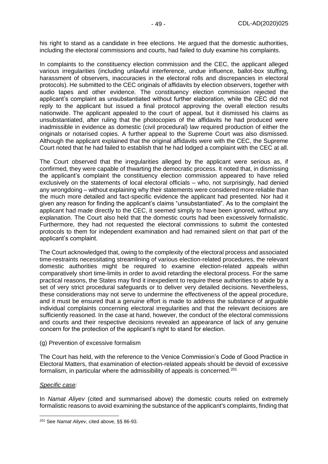his right to stand as a candidate in free elections. He argued that the domestic authorities, including the electoral commissions and courts, had failed to duly examine his complaints.

In complaints to the constituency election commission and the CEC, the applicant alleged various irregularities (including unlawful interference, undue influence, ballot-box stuffing, harassment of observers, inaccuracies in the electoral rolls and discrepancies in electoral protocols). He submitted to the CEC originals of affidavits by election observers, together with audio tapes and other evidence. The constituency election commission rejected the applicant's complaint as unsubstantiated without further elaboration, while the CEC did not reply to the applicant but issued a final protocol approving the overall election results nationwide. The applicant appealed to the court of appeal, but it dismissed his claims as unsubstantiated, after ruling that the photocopies of the affidavits he had produced were inadmissible in evidence as domestic (civil procedural) law required production of either the originals or notarised copies. A further appeal to the Supreme Court was also dismissed. Although the applicant explained that the original affidavits were with the CEC, the Supreme Court noted that he had failed to establish that he had lodged a complaint with the CEC at all.

The Court observed that the irregularities alleged by the applicant were serious as, if confirmed, they were capable of thwarting the democratic process. It noted that, in dismissing the applicant's complaint the constituency election commission appeared to have relied exclusively on the statements of local electoral officials – who, not surprisingly, had denied any wrongdoing – without explaining why their statements were considered more reliable than the much more detailed and fact-specific evidence the applicant had presented. Nor had it given any reason for finding the applicant's claims "unsubstantiated". As to the complaint the applicant had made directly to the CEC, it seemed simply to have been ignored, without any explanation. The Court also held that the domestic courts had been excessively formalistic. Furthermore, they had not requested the electoral commissions to submit the contested protocols to them for independent examination and had remained silent on that part of the applicant's complaint.

The Court acknowledged that, owing to the complexity of the electoral process and associated time-restraints necessitating streamlining of various election-related procedures, the relevant domestic authorities might be required to examine election-related appeals within comparatively short time-limits in order to avoid retarding the electoral process. For the same practical reasons, the States may find it inexpedient to require these authorities to abide by a set of very strict procedural safeguards or to deliver very detailed decisions. Nevertheless, these considerations may not serve to undermine the effectiveness of the appeal procedure, and it must be ensured that a genuine effort is made to address the substance of arguable individual complaints concerning electoral irregularities and that the relevant decisions are sufficiently reasoned. In the case at hand, however, the conduct of the electoral commissions and courts and their respective decisions revealed an appearance of lack of any genuine concern for the protection of the applicant's right to stand for election.

#### (g) Prevention of excessive formalism

The Court has held, with the reference to the Venice Commission's Code of Good Practice in Electoral Matters, that examination of election-related appeals should be devoid of excessive formalism, in particular where the admissibility of appeals is concerned.<sup>201</sup>

#### *Specific case:*

In *Namat Aliyev* (cited and summarised above) the domestic courts relied on extremely formalistic reasons to avoid examining the substance of the applicant's complaints, finding that

<sup>201</sup> See *Namat Aliyev*, cited above, §§ 86-93.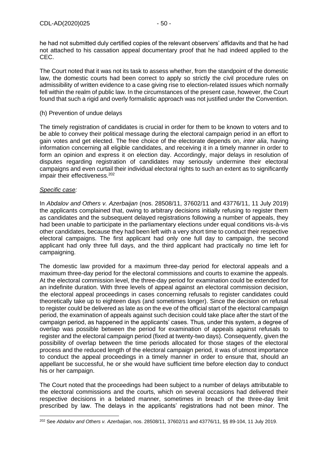he had not submitted duly certified copies of the relevant observers' affidavits and that he had not attached to his cassation appeal documentary proof that he had indeed applied to the CEC.

The Court noted that it was not its task to assess whether, from the standpoint of the domestic law, the domestic courts had been correct to apply so strictly the civil procedure rules on admissibility of written evidence to a case giving rise to election-related issues which normally fell within the realm of public law. In the circumstances of the present case, however, the Court found that such a rigid and overly formalistic approach was not justified under the Convention.

### (h) Prevention of undue delays

The timely registration of candidates is crucial in order for them to be known to voters and to be able to convey their political message during the electoral campaign period in an effort to gain votes and get elected. The free choice of the electorate depends on, *inter alia*, having information concerning all eligible candidates, and receiving it in a timely manner in order to form an opinion and express it on election day. Accordingly, major delays in resolution of disputes regarding registration of candidates may seriously undermine their electoral campaigns and even curtail their individual electoral rights to such an extent as to significantly impair their effectiveness.<sup>202</sup>

#### *Specific case:*

In *Abdalov and Others v. Azerbaijan* (nos. 28508/11, 37602/11 and 43776/11, 11 July 2019) the applicants complained that, owing to arbitrary decisions initially refusing to register them as candidates and the subsequent delayed registrations following a number of appeals, they had been unable to participate in the parliamentary elections under equal conditions vis-à-vis other candidates, because they had been left with a very short time to conduct their respective electoral campaigns. The first applicant had only one full day to campaign, the second applicant had only three full days, and the third applicant had practically no time left for campaigning.

The domestic law provided for a maximum three-day period for electoral appeals and a maximum three-day period for the electoral commissions and courts to examine the appeals. At the electoral commission level, the three-day period for examination could be extended for an indefinite duration. With three levels of appeal against an electoral commission decision, the electoral appeal proceedings in cases concerning refusals to register candidates could theoretically take up to eighteen days (and sometimes longer). Since the decision on refusal to register could be delivered as late as on the eve of the official start of the electoral campaign period, the examination of appeals against such decision could take place after the start of the campaign period, as happened in the applicants' cases. Thus, under this system, a degree of overlap was possible between the period for examination of appeals against refusals to register and the electoral campaign period (fixed at twenty-two days). Consequently, given the possibility of overlap between the time periods allocated for those stages of the electoral process and the reduced length of the electoral campaign period, it was of utmost importance to conduct the appeal proceedings in a timely manner in order to ensure that, should an appellant be successful, he or she would have sufficient time before election day to conduct his or her campaign.

The Court noted that the proceedings had been subject to a number of delays attributable to the electoral commissions and the courts, which on several occasions had delivered their respective decisions in a belated manner, sometimes in breach of the three-day limit prescribed by law. The delays in the applicants' registrations had not been minor. The

<sup>202</sup> See *Abdalov and Others v. Azerbaijan*, nos. 28508/11, 37602/11 and 43776/11, §§ 89-104, 11 July 2019.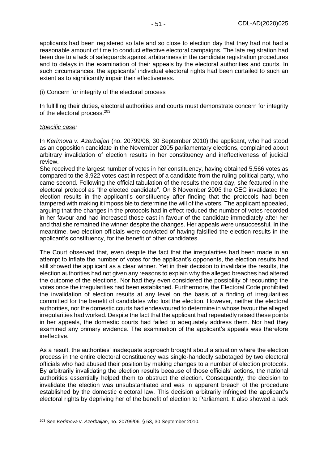applicants had been registered so late and so close to election day that they had not had a reasonable amount of time to conduct effective electoral campaigns. The late registration had been due to a lack of safeguards against arbitrariness in the candidate registration procedures and to delays in the examination of their appeals by the electoral authorities and courts. In such circumstances, the applicants' individual electoral rights had been curtailed to such an extent as to significantly impair their effectiveness.

#### (i) Concern for integrity of the electoral process

In fulfilling their duties, electoral authorities and courts must demonstrate concern for integrity of the electoral process.<sup>203</sup>

#### *Specific case:*

In *Kerimova v. Azerbaijan* (no. 20799/06, 30 September 2010) the applicant, who had stood as an opposition candidate in the November 2005 parliamentary elections, complained about arbitrary invalidation of election results in her constituency and ineffectiveness of judicial review.

She received the largest number of votes in her constituency, having obtained 5,566 votes as compared to the 3,922 votes cast in respect of a candidate from the ruling political party, who came second. Following the official tabulation of the results the next day, she featured in the electoral protocol as "the elected candidate". On 8 November 2005 the CEC invalidated the election results in the applicant's constituency after finding that the protocols had been tampered with making it impossible to determine the will of the voters. The applicant appealed, arguing that the changes in the protocols had in effect reduced the number of votes recorded in her favour and had increased those cast in favour of the candidate immediately after her and that she remained the winner despite the changes. Her appeals were unsuccessful. In the meantime, two election officials were convicted of having falsified the election results in the applicant's constituency, for the benefit of other candidates.

The Court observed that, even despite the fact that the irregularities had been made in an attempt to inflate the number of votes for the applicant's opponents, the election results had still showed the applicant as a clear winner. Yet in their decision to invalidate the results, the election authorities had not given any reasons to explain why the alleged breaches had altered the outcome of the elections. Nor had they even considered the possibility of recounting the votes once the irregularities had been established. Furthermore, the Electoral Code prohibited the invalidation of election results at any level on the basis of a finding of irregularities committed for the benefit of candidates who lost the election. However, neither the electoral authorities, nor the domestic courts had endeavoured to determine in whose favour the alleged irregularities had worked. Despite the fact that the applicant had repeatedly raised these points in her appeals, the domestic courts had failed to adequately address them. Nor had they examined any primary evidence. The examination of the applicant's appeals was therefore ineffective.

As a result, the authorities' inadequate approach brought about a situation where the election process in the entire electoral constituency was single-handedly sabotaged by two electoral officials who had abused their position by making changes to a number of election protocols. By arbitrarily invalidating the election results because of those officials' actions, the national authorities essentially helped them to obstruct the election. Consequently, the decision to invalidate the election was unsubstantiated and was in apparent breach of the procedure established by the domestic electoral law. This decision arbitrarily infringed the applicant's electoral rights by depriving her of the benefit of election to Parliament. It also showed a lack

<sup>203</sup> See *Kerimova v. Azerbaijan*, no. 20799/06, § 53, 30 September 2010.